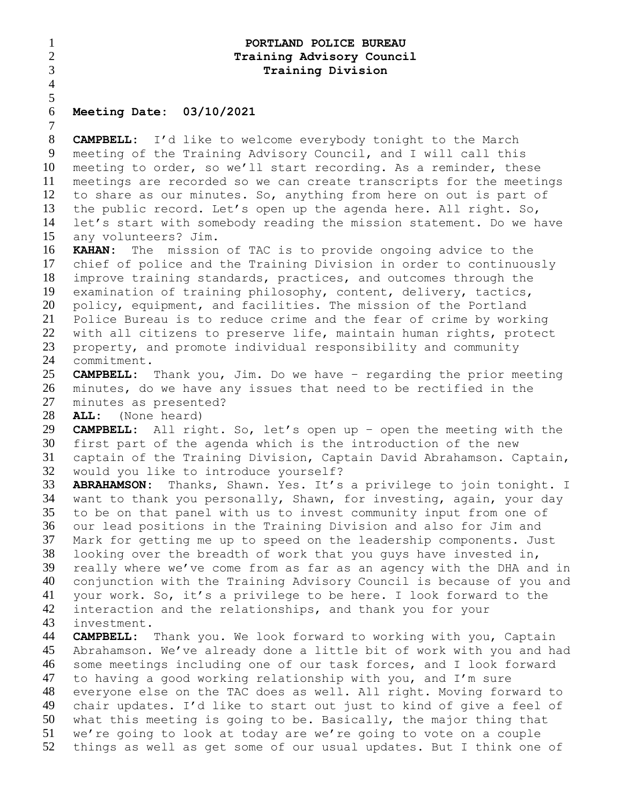| $\mathbf{1}$   | PORTLAND POLICE BUREAU                                                    |
|----------------|---------------------------------------------------------------------------|
| $\overline{2}$ | Training Advisory Council                                                 |
| 3              | <b>Training Division</b>                                                  |
| $\overline{4}$ |                                                                           |
| 5              |                                                                           |
| 6              | Meeting Date: 03/10/2021                                                  |
| $\tau$         |                                                                           |
| 8              | <b>CAMPBELL:</b> I'd like to welcome everybody tonight to the March       |
| 9              | meeting of the Training Advisory Council, and I will call this            |
| 10             | meeting to order, so we'll start recording. As a reminder, these          |
| 11             | meetings are recorded so we can create transcripts for the meetings       |
| 12             | to share as our minutes. So, anything from here on out is part of         |
| 13             | the public record. Let's open up the agenda here. All right. So,          |
| 14             | let's start with somebody reading the mission statement. Do we have       |
| 15             | any volunteers? Jim.                                                      |
| 16             | <b>KAHAN:</b><br>The mission of TAC is to provide ongoing advice to the   |
| 17             | chief of police and the Training Division in order to continuously        |
| 18             | improve training standards, practices, and outcomes through the           |
| 19             | examination of training philosophy, content, delivery, tactics,           |
| 20             | policy, equipment, and facilities. The mission of the Portland            |
| 21             | Police Bureau is to reduce crime and the fear of crime by working         |
| 22             | with all citizens to preserve life, maintain human rights, protect        |
| 23             | property, and promote individual responsibility and community             |
| 24             | commitment.                                                               |
| 25             | <b>CAMPBELL:</b> Thank you, Jim. Do we have - regarding the prior meeting |
| 26             | minutes, do we have any issues that need to be rectified in the           |
| 27             | minutes as presented?                                                     |
| 28             | (None heard)<br><b>ALL:</b>                                               |
| 29             | <b>CAMPBELL:</b> All right. So, let's open up - open the meeting with the |
| 30             | first part of the agenda which is the introduction of the new             |
| 31             | captain of the Training Division, Captain David Abrahamson. Captain,      |
| 32             | would you like to introduce yourself?                                     |
| 33             | ABRAHAMSON: Thanks, Shawn. Yes. It's a privilege to join tonight. I       |
| 34             | want to thank you personally, Shawn, for investing, again, your day       |
| 35             | to be on that panel with us to invest community input from one of         |
| 36             | our lead positions in the Training Division and also for Jim and          |
| 37             | Mark for getting me up to speed on the leadership components. Just        |
| 38             | looking over the breadth of work that you guys have invested in,          |
| 39             | really where we've come from as far as an agency with the DHA and in      |
| 40             | conjunction with the Training Advisory Council is because of you and      |
| 41             | your work. So, it's a privilege to be here. I look forward to the         |
| 42             | interaction and the relationships, and thank you for your                 |
| 43             | investment.                                                               |
| 44             | <b>CAMPBELL:</b> Thank you. We look forward to working with you, Captain  |
| 45             | Abrahamson. We've already done a little bit of work with you and had      |
| 46             | some meetings including one of our task forces, and I look forward        |
| 47             | to having a good working relationship with you, and I'm sure              |
| 48             | everyone else on the TAC does as well. All right. Moving forward to       |
| 49             | chair updates. I'd like to start out just to kind of give a feel of       |
| 50             | what this meeting is going to be. Basically, the major thing that         |
| 51             | we're going to look at today are we're going to vote on a couple          |
| 52             | things as well as get some of our usual updates. But I think one of       |
|                |                                                                           |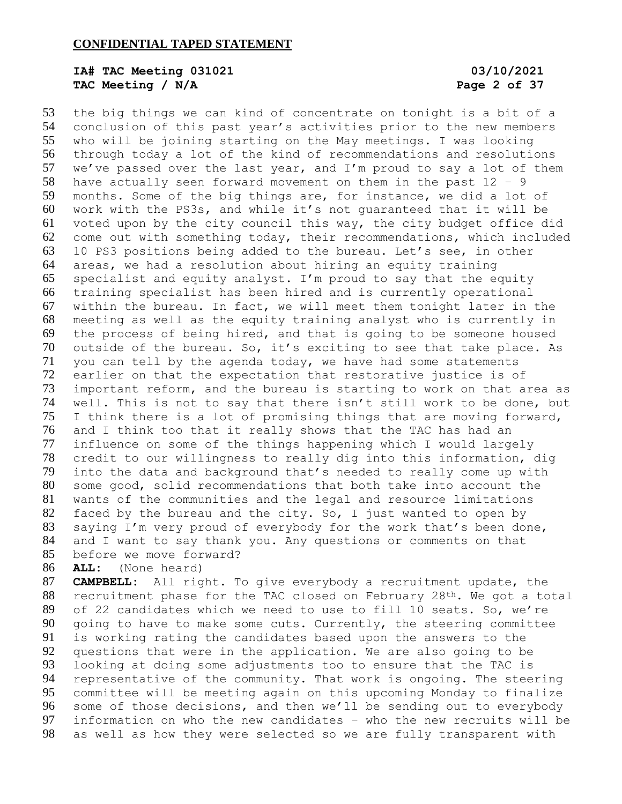# **IA# TAC Meeting 031021 03/10/2021 TAC Meeting / N/A Page 2 of 37**

 the big things we can kind of concentrate on tonight is a bit of a conclusion of this past year's activities prior to the new members who will be joining starting on the May meetings. I was looking through today a lot of the kind of recommendations and resolutions we've passed over the last year, and I'm proud to say a lot of them 58 have actually seen forward movement on them in the past  $12 - 9$  months. Some of the big things are, for instance, we did a lot of work with the PS3s, and while it's not guaranteed that it will be voted upon by the city council this way, the city budget office did come out with something today, their recommendations, which included 10 PS3 positions being added to the bureau. Let's see, in other areas, we had a resolution about hiring an equity training specialist and equity analyst. I'm proud to say that the equity training specialist has been hired and is currently operational within the bureau. In fact, we will meet them tonight later in the meeting as well as the equity training analyst who is currently in the process of being hired, and that is going to be someone housed outside of the bureau. So, it's exciting to see that take place. As you can tell by the agenda today, we have had some statements earlier on that the expectation that restorative justice is of important reform, and the bureau is starting to work on that area as well. This is not to say that there isn't still work to be done, but I think there is a lot of promising things that are moving forward, and I think too that it really shows that the TAC has had an influence on some of the things happening which I would largely credit to our willingness to really dig into this information, dig into the data and background that's needed to really come up with some good, solid recommendations that both take into account the wants of the communities and the legal and resource limitations faced by the bureau and the city. So, I just wanted to open by saying I'm very proud of everybody for the work that's been done, and I want to say thank you. Any questions or comments on that before we move forward?

**ALL:** (None heard)

 **CAMPBELL:** All right. To give everybody a recruitment update, the 88 recruitment phase for the TAC closed on February 28<sup>th</sup>. We got a total of 22 candidates which we need to use to fill 10 seats. So, we're going to have to make some cuts. Currently, the steering committee is working rating the candidates based upon the answers to the questions that were in the application. We are also going to be looking at doing some adjustments too to ensure that the TAC is representative of the community. That work is ongoing. The steering committee will be meeting again on this upcoming Monday to finalize some of those decisions, and then we'll be sending out to everybody information on who the new candidates – who the new recruits will be as well as how they were selected so we are fully transparent with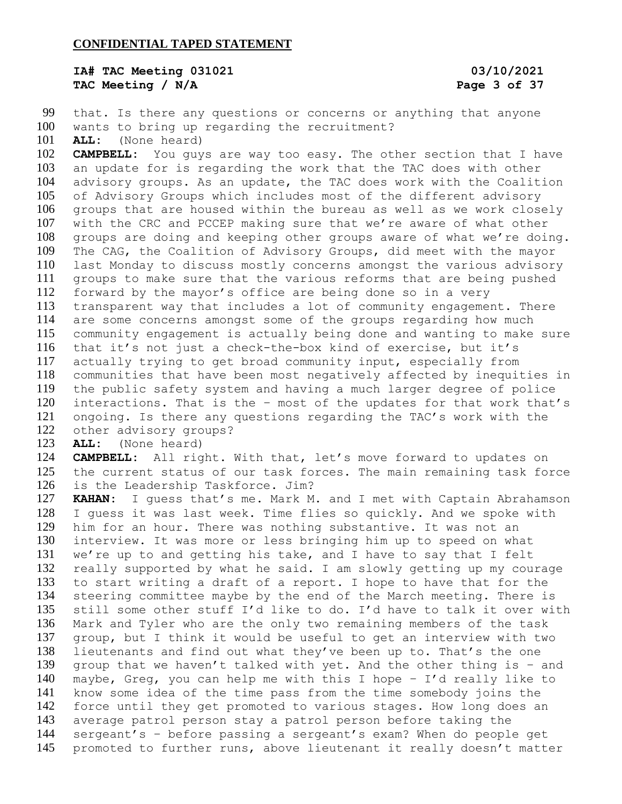**IA# TAC Meeting 031021 03/10/2021 TAC Meeting / N/A Page 3 of 37**

 that. Is there any questions or concerns or anything that anyone wants to bring up regarding the recruitment?

**ALL:** (None heard)

 **CAMPBELL:** You guys are way too easy. The other section that I have an update for is regarding the work that the TAC does with other advisory groups. As an update, the TAC does work with the Coalition of Advisory Groups which includes most of the different advisory groups that are housed within the bureau as well as we work closely with the CRC and PCCEP making sure that we're aware of what other groups are doing and keeping other groups aware of what we're doing. The CAG, the Coalition of Advisory Groups, did meet with the mayor last Monday to discuss mostly concerns amongst the various advisory groups to make sure that the various reforms that are being pushed forward by the mayor's office are being done so in a very transparent way that includes a lot of community engagement. There are some concerns amongst some of the groups regarding how much community engagement is actually being done and wanting to make sure that it's not just a check-the-box kind of exercise, but it's actually trying to get broad community input, especially from communities that have been most negatively affected by inequities in the public safety system and having a much larger degree of police interactions. That is the – most of the updates for that work that's ongoing. Is there any questions regarding the TAC's work with the other advisory groups?

**ALL:** (None heard)

 **CAMPBELL:** All right. With that, let's move forward to updates on the current status of our task forces. The main remaining task force is the Leadership Taskforce. Jim?

 **KAHAN:** I guess that's me. Mark M. and I met with Captain Abrahamson I guess it was last week. Time flies so quickly. And we spoke with him for an hour. There was nothing substantive. It was not an interview. It was more or less bringing him up to speed on what we're up to and getting his take, and I have to say that I felt really supported by what he said. I am slowly getting up my courage to start writing a draft of a report. I hope to have that for the steering committee maybe by the end of the March meeting. There is still some other stuff I'd like to do. I'd have to talk it over with Mark and Tyler who are the only two remaining members of the task group, but I think it would be useful to get an interview with two lieutenants and find out what they've been up to. That's the one group that we haven't talked with yet. And the other thing is – and maybe, Greg, you can help me with this I hope – I'd really like to know some idea of the time pass from the time somebody joins the force until they get promoted to various stages. How long does an average patrol person stay a patrol person before taking the sergeant's – before passing a sergeant's exam? When do people get promoted to further runs, above lieutenant it really doesn't matter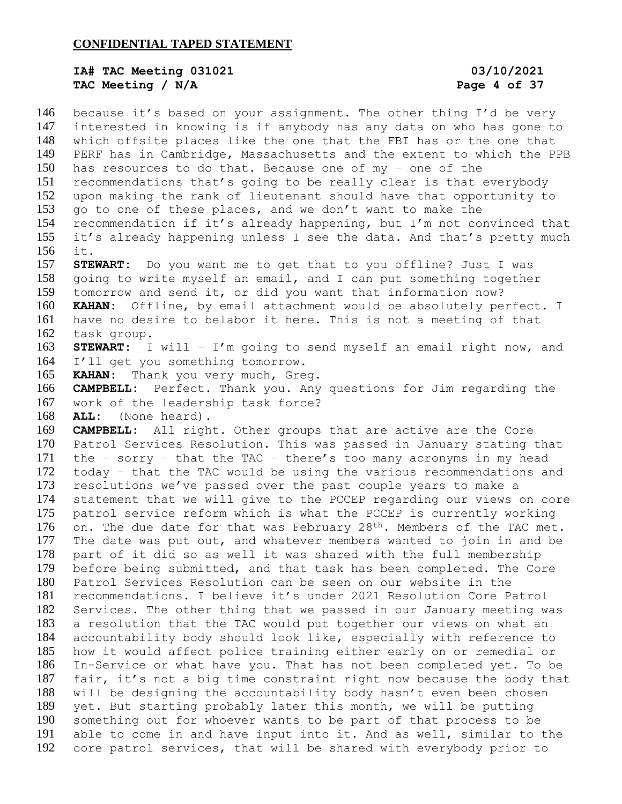### **IA# TAC Meeting 031021 03/10/2021 TAC Meeting / N/A Page 4 of 37**

 because it's based on your assignment. The other thing I'd be very interested in knowing is if anybody has any data on who has gone to which offsite places like the one that the FBI has or the one that PERF has in Cambridge, Massachusetts and the extent to which the PPB has resources to do that. Because one of my – one of the recommendations that's going to be really clear is that everybody upon making the rank of lieutenant should have that opportunity to go to one of these places, and we don't want to make the recommendation if it's already happening, but I'm not convinced that it's already happening unless I see the data. And that's pretty much it. **STEWART:** Do you want me to get that to you offline? Just I was going to write myself an email, and I can put something together tomorrow and send it, or did you want that information now? **KAHAN:** Offline, by email attachment would be absolutely perfect. I have no desire to belabor it here. This is not a meeting of that task group. **STEWART:** I will – I'm going to send myself an email right now, and I'll get you something tomorrow. **KAHAN:** Thank you very much, Greg. **CAMPBELL:** Perfect. Thank you. Any questions for Jim regarding the work of the leadership task force? **ALL:** (None heard). **CAMPBELL:** All right. Other groups that are active are the Core Patrol Services Resolution. This was passed in January stating that the – sorry – that the TAC – there's too many acronyms in my head today – that the TAC would be using the various recommendations and resolutions we've passed over the past couple years to make a statement that we will give to the PCCEP regarding our views on core patrol service reform which is what the PCCEP is currently working 176 on. The due date for that was February 28<sup>th</sup>. Members of the TAC met. The date was put out, and whatever members wanted to join in and be part of it did so as well it was shared with the full membership before being submitted, and that task has been completed. The Core Patrol Services Resolution can be seen on our website in the recommendations. I believe it's under 2021 Resolution Core Patrol Services. The other thing that we passed in our January meeting was a resolution that the TAC would put together our views on what an accountability body should look like, especially with reference to how it would affect police training either early on or remedial or In-Service or what have you. That has not been completed yet. To be fair, it's not a big time constraint right now because the body that will be designing the accountability body hasn't even been chosen yet. But starting probably later this month, we will be putting something out for whoever wants to be part of that process to be able to come in and have input into it. And as well, similar to the core patrol services, that will be shared with everybody prior to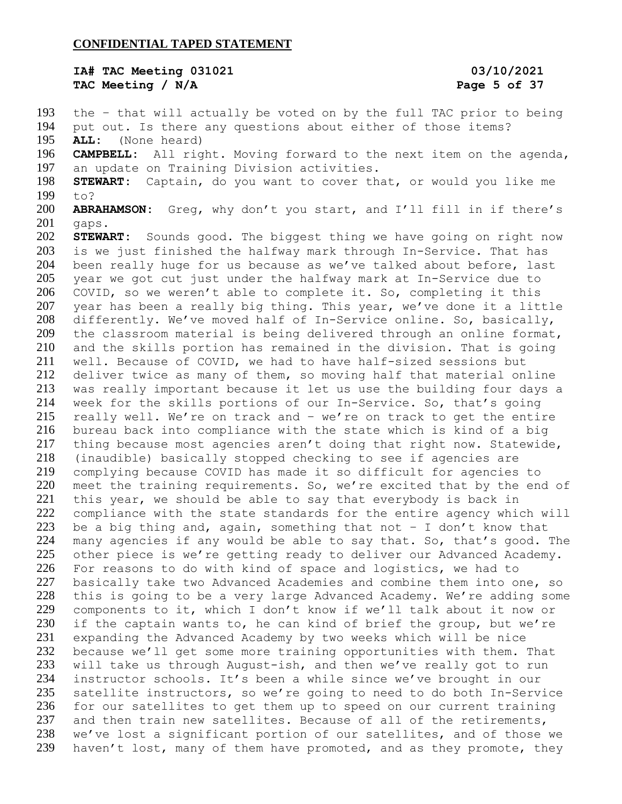### **IA# TAC Meeting 031021 03/10/2021 TAC Meeting / N/A Page 5 of 37**

 the – that will actually be voted on by the full TAC prior to being put out. Is there any questions about either of those items? **ALL:** (None heard) **CAMPBELL:** All right. Moving forward to the next item on the agenda, an update on Training Division activities. **STEWART:** Captain, do you want to cover that, or would you like me to? **ABRAHAMSON:** Greg, why don't you start, and I'll fill in if there's gaps. **STEWART:** Sounds good. The biggest thing we have going on right now is we just finished the halfway mark through In-Service. That has been really huge for us because as we've talked about before, last year we got cut just under the halfway mark at In-Service due to COVID, so we weren't able to complete it. So, completing it this year has been a really big thing. This year, we've done it a little 208 differently. We've moved half of In-Service online. So, basically, the classroom material is being delivered through an online format, and the skills portion has remained in the division. That is going well. Because of COVID, we had to have half-sized sessions but deliver twice as many of them, so moving half that material online was really important because it let us use the building four days a week for the skills portions of our In-Service. So, that's going really well. We're on track and – we're on track to get the entire bureau back into compliance with the state which is kind of a big thing because most agencies aren't doing that right now. Statewide, (inaudible) basically stopped checking to see if agencies are complying because COVID has made it so difficult for agencies to meet the training requirements. So, we're excited that by the end of this year, we should be able to say that everybody is back in compliance with the state standards for the entire agency which will 223 be a big thing and, again, something that not  $-$  I don't know that many agencies if any would be able to say that. So, that's good. The other piece is we're getting ready to deliver our Advanced Academy. For reasons to do with kind of space and logistics, we had to basically take two Advanced Academies and combine them into one, so this is going to be a very large Advanced Academy. We're adding some components to it, which I don't know if we'll talk about it now or if the captain wants to, he can kind of brief the group, but we're expanding the Advanced Academy by two weeks which will be nice because we'll get some more training opportunities with them. That will take us through August-ish, and then we've really got to run instructor schools. It's been a while since we've brought in our satellite instructors, so we're going to need to do both In-Service for our satellites to get them up to speed on our current training 237 and then train new satellites. Because of all of the retirements, we've lost a significant portion of our satellites, and of those we haven't lost, many of them have promoted, and as they promote, they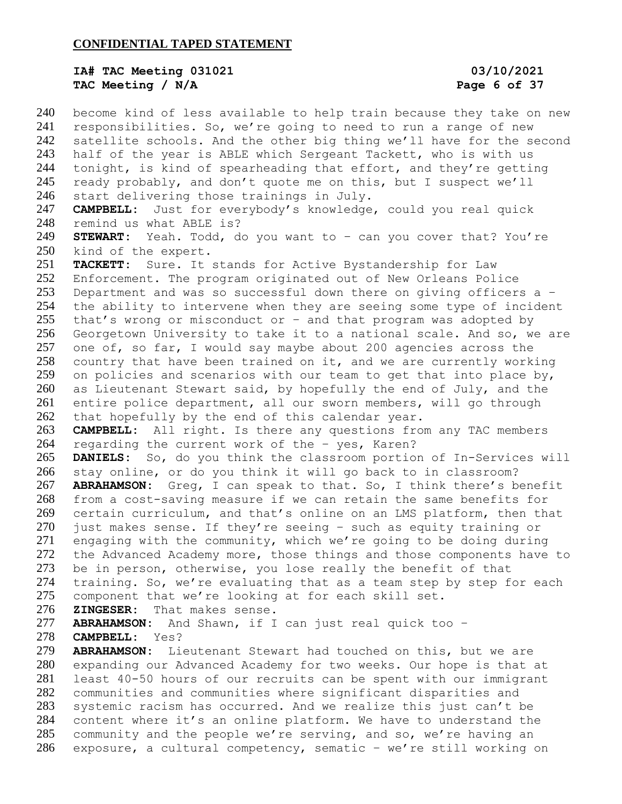## **IA# TAC Meeting 031021 03/10/2021 TAC Meeting / N/A Page 6 of 37**

 become kind of less available to help train because they take on new responsibilities. So, we're going to need to run a range of new satellite schools. And the other big thing we'll have for the second half of the year is ABLE which Sergeant Tackett, who is with us tonight, is kind of spearheading that effort, and they're getting ready probably, and don't quote me on this, but I suspect we'll start delivering those trainings in July. **CAMPBELL:** Just for everybody's knowledge, could you real quick remind us what ABLE is? **STEWART:** Yeah. Todd, do you want to – can you cover that? You're kind of the expert. **TACKETT:** Sure. It stands for Active Bystandership for Law Enforcement. The program originated out of New Orleans Police Department and was so successful down there on giving officers a – the ability to intervene when they are seeing some type of incident that's wrong or misconduct or – and that program was adopted by Georgetown University to take it to a national scale. And so, we are one of, so far, I would say maybe about 200 agencies across the country that have been trained on it, and we are currently working 259 on policies and scenarios with our team to get that into place by, as Lieutenant Stewart said, by hopefully the end of July, and the entire police department, all our sworn members, will go through that hopefully by the end of this calendar year. **CAMPBELL:** All right. Is there any questions from any TAC members regarding the current work of the – yes, Karen? **DANIELS:** So, do you think the classroom portion of In-Services will stay online, or do you think it will go back to in classroom? **ABRAHAMSON:** Greg, I can speak to that. So, I think there's benefit from a cost-saving measure if we can retain the same benefits for certain curriculum, and that's online on an LMS platform, then that 270 just makes sense. If they're seeing - such as equity training or engaging with the community, which we're going to be doing during the Advanced Academy more, those things and those components have to be in person, otherwise, you lose really the benefit of that training. So, we're evaluating that as a team step by step for each component that we're looking at for each skill set. **ZINGESER:** That makes sense. **ABRAHAMSON:** And Shawn, if I can just real quick too – **CAMPBELL:** Yes? **ABRAHAMSON:** Lieutenant Stewart had touched on this, but we are expanding our Advanced Academy for two weeks. Our hope is that at least 40-50 hours of our recruits can be spent with our immigrant communities and communities where significant disparities and systemic racism has occurred. And we realize this just can't be content where it's an online platform. We have to understand the community and the people we're serving, and so, we're having an exposure, a cultural competency, sematic – we're still working on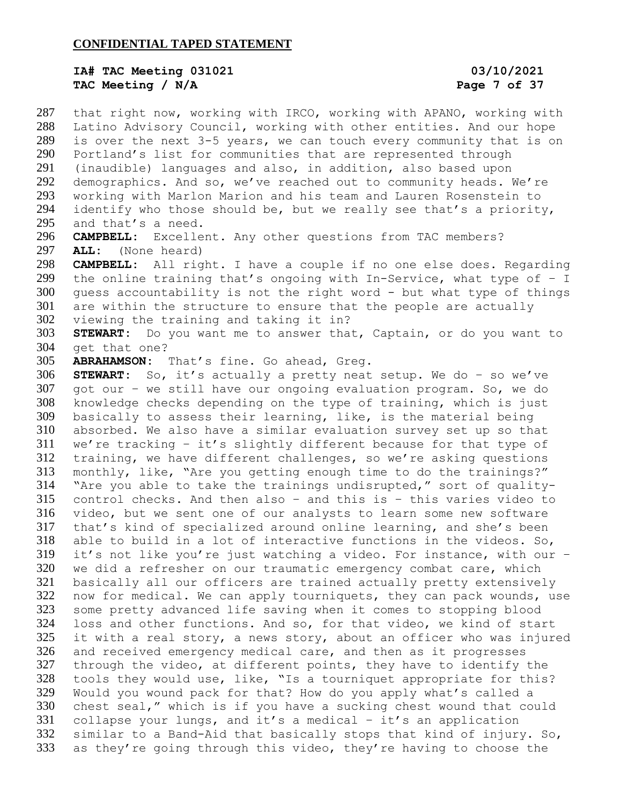### **IA# TAC Meeting 031021 03/10/2021 TAC Meeting / N/A Page 7 of 37**

 that right now, working with IRCO, working with APANO, working with Latino Advisory Council, working with other entities. And our hope is over the next 3-5 years, we can touch every community that is on Portland's list for communities that are represented through (inaudible) languages and also, in addition, also based upon demographics. And so, we've reached out to community heads. We're working with Marlon Marion and his team and Lauren Rosenstein to identify who those should be, but we really see that's a priority, and that's a need. **CAMPBELL:** Excellent. Any other questions from TAC members? **ALL:** (None heard) **CAMPBELL:** All right. I have a couple if no one else does. Regarding 299 the online training that's ongoing with In-Service, what type of  $-$  I guess accountability is not the right word - but what type of things are within the structure to ensure that the people are actually viewing the training and taking it in? **STEWART:** Do you want me to answer that, Captain, or do you want to get that one? **ABRAHAMSON:** That's fine. Go ahead, Greg. **STEWART:** So, it's actually a pretty neat setup. We do – so we've got our – we still have our ongoing evaluation program. So, we do knowledge checks depending on the type of training, which is just basically to assess their learning, like, is the material being absorbed. We also have a similar evaluation survey set up so that we're tracking – it's slightly different because for that type of training, we have different challenges, so we're asking questions monthly, like, "Are you getting enough time to do the trainings?" "Are you able to take the trainings undisrupted," sort of quality- control checks. And then also – and this is – this varies video to video, but we sent one of our analysts to learn some new software that's kind of specialized around online learning, and she's been able to build in a lot of interactive functions in the videos. So, it's not like you're just watching a video. For instance, with our – we did a refresher on our traumatic emergency combat care, which basically all our officers are trained actually pretty extensively now for medical. We can apply tourniquets, they can pack wounds, use some pretty advanced life saving when it comes to stopping blood loss and other functions. And so, for that video, we kind of start it with a real story, a news story, about an officer who was injured and received emergency medical care, and then as it progresses through the video, at different points, they have to identify the tools they would use, like, "Is a tourniquet appropriate for this? Would you wound pack for that? How do you apply what's called a chest seal," which is if you have a sucking chest wound that could collapse your lungs, and it's a medical – it's an application similar to a Band-Aid that basically stops that kind of injury. So, as they're going through this video, they're having to choose the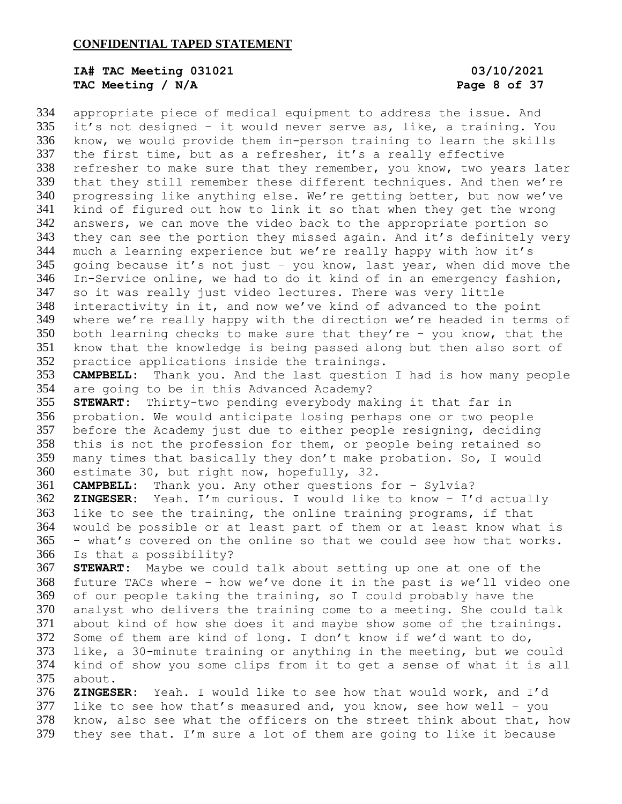# **IA# TAC Meeting 031021 03/10/2021 TAC Meeting / N/A Page 8 of 37**

 appropriate piece of medical equipment to address the issue. And it's not designed – it would never serve as, like, a training. You know, we would provide them in-person training to learn the skills the first time, but as a refresher, it's a really effective refresher to make sure that they remember, you know, two years later that they still remember these different techniques. And then we're progressing like anything else. We're getting better, but now we've kind of figured out how to link it so that when they get the wrong answers, we can move the video back to the appropriate portion so they can see the portion they missed again. And it's definitely very much a learning experience but we're really happy with how it's going because it's not just – you know, last year, when did move the In-Service online, we had to do it kind of in an emergency fashion, so it was really just video lectures. There was very little interactivity in it, and now we've kind of advanced to the point where we're really happy with the direction we're headed in terms of both learning checks to make sure that they're – you know, that the know that the knowledge is being passed along but then also sort of practice applications inside the trainings. **CAMPBELL:** Thank you. And the last question I had is how many people are going to be in this Advanced Academy? **STEWART:** Thirty-two pending everybody making it that far in probation. We would anticipate losing perhaps one or two people before the Academy just due to either people resigning, deciding this is not the profession for them, or people being retained so many times that basically they don't make probation. So, I would estimate 30, but right now, hopefully, 32. **CAMPBELL:** Thank you. Any other questions for – Sylvia? **ZINGESER:** Yeah. I'm curious. I would like to know – I'd actually like to see the training, the online training programs, if that would be possible or at least part of them or at least know what is – what's covered on the online so that we could see how that works. Is that a possibility? **STEWART:** Maybe we could talk about setting up one at one of the future TACs where – how we've done it in the past is we'll video one of our people taking the training, so I could probably have the analyst who delivers the training come to a meeting. She could talk about kind of how she does it and maybe show some of the trainings. Some of them are kind of long. I don't know if we'd want to do, like, a 30-minute training or anything in the meeting, but we could kind of show you some clips from it to get a sense of what it is all about. **ZINGESER:** Yeah. I would like to see how that would work, and I'd

 like to see how that's measured and, you know, see how well – you know, also see what the officers on the street think about that, how they see that. I'm sure a lot of them are going to like it because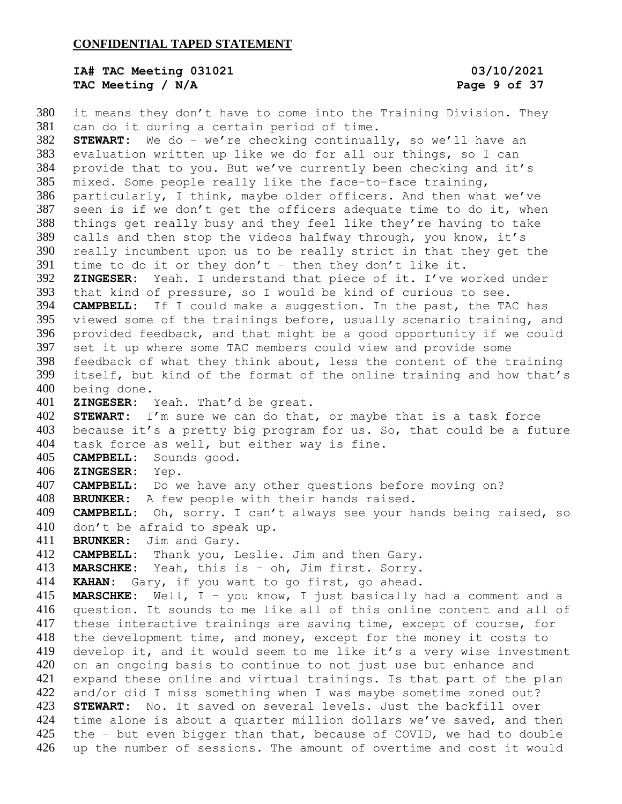## **IA# TAC Meeting 031021 03/10/2021 TAC Meeting / N/A Page 9 of 37**

 it means they don't have to come into the Training Division. They can do it during a certain period of time. **STEWART:** We do – we're checking continually, so we'll have an evaluation written up like we do for all our things, so I can provide that to you. But we've currently been checking and it's mixed. Some people really like the face-to-face training, particularly, I think, maybe older officers. And then what we've seen is if we don't get the officers adequate time to do it, when things get really busy and they feel like they're having to take calls and then stop the videos halfway through, you know, it's really incumbent upon us to be really strict in that they get the 391 time to do it or they don't - then they don't like it. **ZINGESER:** Yeah. I understand that piece of it. I've worked under that kind of pressure, so I would be kind of curious to see. **CAMPBELL:** If I could make a suggestion. In the past, the TAC has viewed some of the trainings before, usually scenario training, and provided feedback, and that might be a good opportunity if we could set it up where some TAC members could view and provide some feedback of what they think about, less the content of the training itself, but kind of the format of the online training and how that's being done. **ZINGESER:** Yeah. That'd be great. **STEWART:** I'm sure we can do that, or maybe that is a task force because it's a pretty big program for us. So, that could be a future task force as well, but either way is fine. **CAMPBELL:** Sounds good. **ZINGESER:** Yep. **CAMPBELL:** Do we have any other questions before moving on? **BRUNKER:** A few people with their hands raised. **CAMPBELL:** Oh, sorry. I can't always see your hands being raised, so don't be afraid to speak up. **BRUNKER:** Jim and Gary. **CAMPBELL:** Thank you, Leslie. Jim and then Gary. **MARSCHKE:** Yeah, this is – oh, Jim first. Sorry. **KAHAN:** Gary, if you want to go first, go ahead. **MARSCHKE:** Well, I – you know, I just basically had a comment and a question. It sounds to me like all of this online content and all of these interactive trainings are saving time, except of course, for the development time, and money, except for the money it costs to develop it, and it would seem to me like it's a very wise investment on an ongoing basis to continue to not just use but enhance and expand these online and virtual trainings. Is that part of the plan 422 and/or did I miss something when I was maybe sometime zoned out? **STEWART:** No. It saved on several levels. Just the backfill over time alone is about a quarter million dollars we've saved, and then the – but even bigger than that, because of COVID, we had to double up the number of sessions. The amount of overtime and cost it would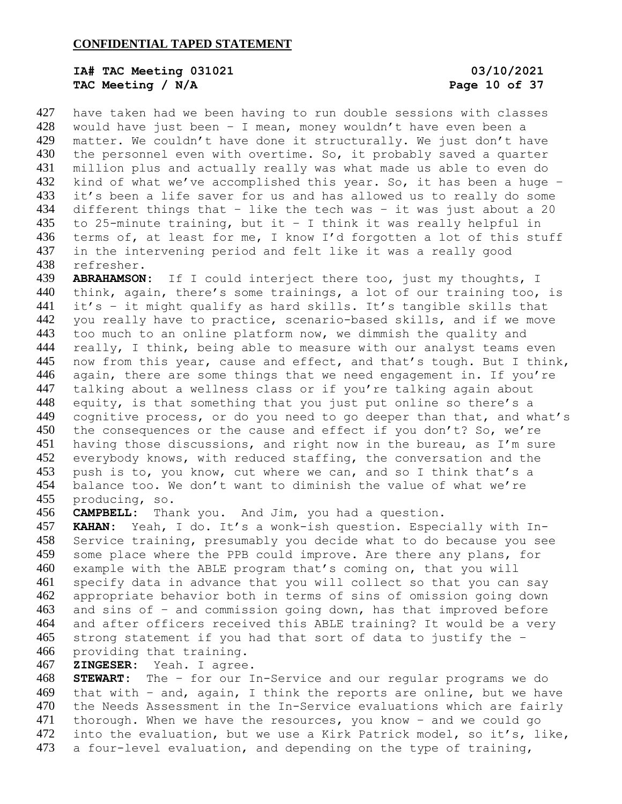# **IA# TAC Meeting 031021 03/10/2021** TAC Meeting / N/A **Page 10** of 37

 have taken had we been having to run double sessions with classes would have just been – I mean, money wouldn't have even been a matter. We couldn't have done it structurally. We just don't have 430 the personnel even with overtime. So, it probably saved a quarter million plus and actually really was what made us able to even do kind of what we've accomplished this year. So, it has been a huge – it's been a life saver for us and has allowed us to really do some different things that – like the tech was – it was just about a 20 435 to 25-minute training, but it - I think it was really helpful in terms of, at least for me, I know I'd forgotten a lot of this stuff in the intervening period and felt like it was a really good refresher.

 **ABRAHAMSON:** If I could interject there too, just my thoughts, I think, again, there's some trainings, a lot of our training too, is it's – it might qualify as hard skills. It's tangible skills that you really have to practice, scenario-based skills, and if we move too much to an online platform now, we dimmish the quality and really, I think, being able to measure with our analyst teams even 445 now from this year, cause and effect, and that's tough. But I think, 446 again, there are some things that we need engagement in. If you're talking about a wellness class or if you're talking again about 448 equity, is that something that you just put online so there's a 449 cognitive process, or do you need to go deeper than that, and what's 450 the consequences or the cause and effect if you don't? So, we're having those discussions, and right now in the bureau, as I'm sure everybody knows, with reduced staffing, the conversation and the push is to, you know, cut where we can, and so I think that's a balance too. We don't want to diminish the value of what we're producing, so.

**CAMPBELL:** Thank you. And Jim, you had a question.

 **KAHAN:** Yeah, I do. It's a wonk-ish question. Especially with In- Service training, presumably you decide what to do because you see some place where the PPB could improve. Are there any plans, for example with the ABLE program that's coming on, that you will specify data in advance that you will collect so that you can say appropriate behavior both in terms of sins of omission going down and sins of – and commission going down, has that improved before and after officers received this ABLE training? It would be a very strong statement if you had that sort of data to justify the – providing that training.

### **ZINGESER:** Yeah. I agree.

 **STEWART:** The – for our In-Service and our regular programs we do that with – and, again, I think the reports are online, but we have the Needs Assessment in the In-Service evaluations which are fairly thorough. When we have the resources, you know – and we could go into the evaluation, but we use a Kirk Patrick model, so it's, like, 473 a four-level evaluation, and depending on the type of training,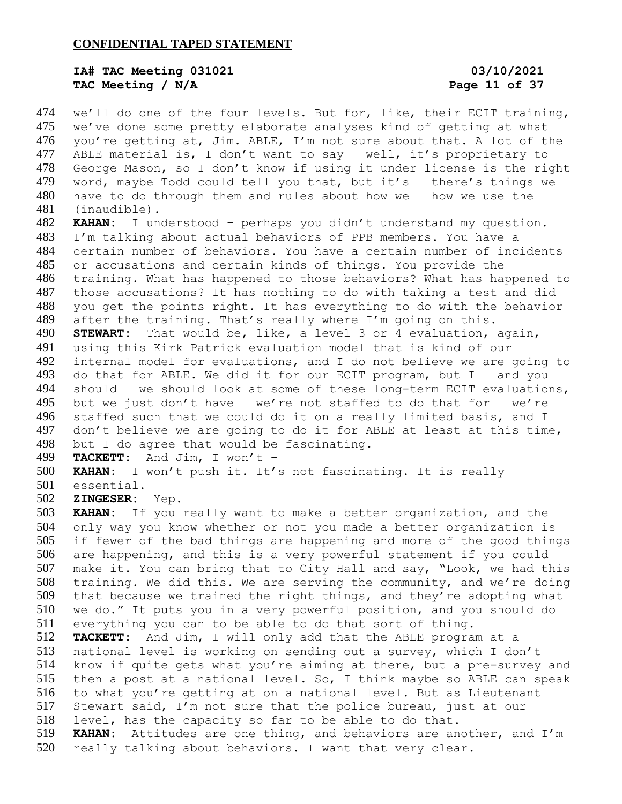## **IA# TAC Meeting 031021 03/10/2021 TAC Meeting / N/A Page 11 of 37**

474 we'll do one of the four levels. But for, like, their ECIT training, we've done some pretty elaborate analyses kind of getting at what you're getting at, Jim. ABLE, I'm not sure about that. A lot of the ABLE material is, I don't want to say – well, it's proprietary to George Mason, so I don't know if using it under license is the right word, maybe Todd could tell you that, but it's – there's things we have to do through them and rules about how we – how we use the (inaudible).

 **KAHAN:** I understood – perhaps you didn't understand my question. I'm talking about actual behaviors of PPB members. You have a certain number of behaviors. You have a certain number of incidents or accusations and certain kinds of things. You provide the training. What has happened to those behaviors? What has happened to those accusations? It has nothing to do with taking a test and did you get the points right. It has everything to do with the behavior after the training. That's really where I'm going on this. **STEWART:** That would be, like, a level 3 or 4 evaluation, again, using this Kirk Patrick evaluation model that is kind of our internal model for evaluations, and I do not believe we are going to 493 do that for ABLE. We did it for our ECIT program, but  $I -$  and you should – we should look at some of these long-term ECIT evaluations, 495 but we just don't have - we're not staffed to do that for - we're staffed such that we could do it on a really limited basis, and I don't believe we are going to do it for ABLE at least at this time, but I do agree that would be fascinating.

```
499 TACKETT: And Jim, I won't -<br>500 KAHAN: I won't push it. It's
```
KAHAN: I won't push it. It's not fascinating. It is really

- essential.
- **ZINGESER:** Yep.

 **KAHAN:** If you really want to make a better organization, and the only way you know whether or not you made a better organization is if fewer of the bad things are happening and more of the good things are happening, and this is a very powerful statement if you could make it. You can bring that to City Hall and say, "Look, we had this training. We did this. We are serving the community, and we're doing that because we trained the right things, and they're adopting what we do." It puts you in a very powerful position, and you should do everything you can to be able to do that sort of thing. **TACKETT:** And Jim, I will only add that the ABLE program at a 513 national level is working on sending out a survey, which I don't<br>514 know if quite gets what you're aiming at there, but a pre-survev know if quite gets what you're aiming at there, but a pre-survey and then a post at a national level. So, I think maybe so ABLE can speak to what you're getting at on a national level. But as Lieutenant Stewart said, I'm not sure that the police bureau, just at our level, has the capacity so far to be able to do that. **KAHAN:** Attitudes are one thing, and behaviors are another, and I'm really talking about behaviors. I want that very clear.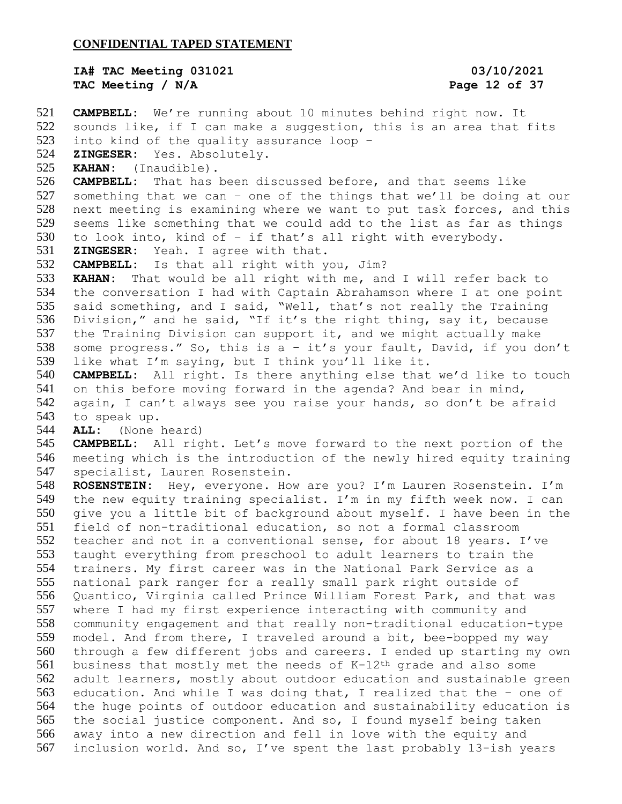## **IA# TAC Meeting 031021 03/10/2021 TAC Meeting / N/A Page 12 of 37**

 **CAMPBELL:** We're running about 10 minutes behind right now. It sounds like, if I can make a suggestion, this is an area that fits into kind of the quality assurance loop – **ZINGESER:** Yes. Absolutely. **KAHAN:** (Inaudible). **CAMPBELL:** That has been discussed before, and that seems like something that we can – one of the things that we'll be doing at our next meeting is examining where we want to put task forces, and this seems like something that we could add to the list as far as things to look into, kind of – if that's all right with everybody. **ZINGESER:** Yeah. I agree with that. **CAMPBELL:** Is that all right with you, Jim? **KAHAN:** That would be all right with me, and I will refer back to the conversation I had with Captain Abrahamson where I at one point said something, and I said, "Well, that's not really the Training Division," and he said, "If it's the right thing, say it, because 537 the Training Division can support it, and we might actually make some progress." So, this is a – it's your fault, David, if you don't like what I'm saying, but I think you'll like it. **CAMPBELL:** All right. Is there anything else that we'd like to touch on this before moving forward in the agenda? And bear in mind, again, I can't always see you raise your hands, so don't be afraid to speak up. **ALL:** (None heard) **CAMPBELL:** All right. Let's move forward to the next portion of the meeting which is the introduction of the newly hired equity training specialist, Lauren Rosenstein. **ROSENSTEIN:** Hey, everyone. How are you? I'm Lauren Rosenstein. I'm the new equity training specialist. I'm in my fifth week now. I can give you a little bit of background about myself. I have been in the field of non-traditional education, so not a formal classroom teacher and not in a conventional sense, for about 18 years. I've taught everything from preschool to adult learners to train the trainers. My first career was in the National Park Service as a national park ranger for a really small park right outside of Quantico, Virginia called Prince William Forest Park, and that was where I had my first experience interacting with community and community engagement and that really non-traditional education-type model. And from there, I traveled around a bit, bee-bopped my way through a few different jobs and careers. I ended up starting my own business that mostly met the needs of K-12th grade and also some adult learners, mostly about outdoor education and sustainable green education. And while I was doing that, I realized that the – one of the huge points of outdoor education and sustainability education is the social justice component. And so, I found myself being taken away into a new direction and fell in love with the equity and inclusion world. And so, I've spent the last probably 13-ish years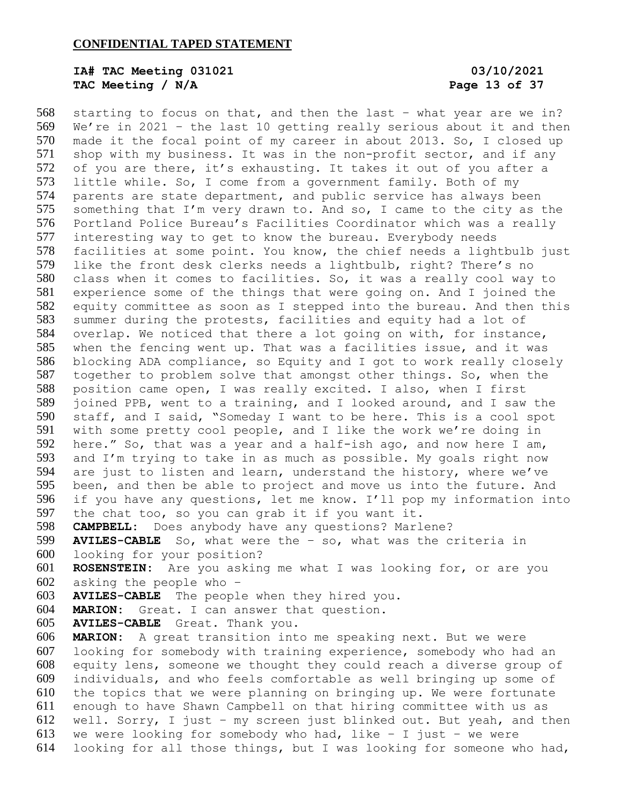# **IA# TAC Meeting 031021 03/10/2021 TAC Meeting / N/A Page 13 of 37**

 starting to focus on that, and then the last – what year are we in? We're in 2021 – the last 10 getting really serious about it and then made it the focal point of my career in about 2013. So, I closed up shop with my business. It was in the non-profit sector, and if any 572 of you are there, it's exhausting. It takes it out of you after a little while. So, I come from a government family. Both of my parents are state department, and public service has always been something that I'm very drawn to. And so, I came to the city as the Portland Police Bureau's Facilities Coordinator which was a really interesting way to get to know the bureau. Everybody needs facilities at some point. You know, the chief needs a lightbulb just like the front desk clerks needs a lightbulb, right? There's no class when it comes to facilities. So, it was a really cool way to experience some of the things that were going on. And I joined the equity committee as soon as I stepped into the bureau. And then this summer during the protests, facilities and equity had a lot of overlap. We noticed that there a lot going on with, for instance, when the fencing went up. That was a facilities issue, and it was blocking ADA compliance, so Equity and I got to work really closely together to problem solve that amongst other things. So, when the position came open, I was really excited. I also, when I first joined PPB, went to a training, and I looked around, and I saw the staff, and I said, "Someday I want to be here. This is a cool spot with some pretty cool people, and I like the work we're doing in here." So, that was a year and a half-ish ago, and now here I am, and I'm trying to take in as much as possible. My goals right now are just to listen and learn, understand the history, where we've been, and then be able to project and move us into the future. And if you have any questions, let me know. I'll pop my information into the chat too, so you can grab it if you want it. **CAMPBELL:** Does anybody have any questions? Marlene? **AVILES-CABLE** So, what were the – so, what was the criteria in looking for your position? **ROSENSTEIN:** Are you asking me what I was looking for, or are you asking the people who – **AVILES-CABLE** The people when they hired you. **MARION:** Great. I can answer that question. **AVILES-CABLE** Great. Thank you. **MARION:** A great transition into me speaking next. But we were looking for somebody with training experience, somebody who had an equity lens, someone we thought they could reach a diverse group of individuals, and who feels comfortable as well bringing up some of the topics that we were planning on bringing up. We were fortunate enough to have Shawn Campbell on that hiring committee with us as well. Sorry, I just – my screen just blinked out. But yeah, and then 613 we were looking for somebody who had, like  $-$  I just  $-$  we were looking for all those things, but I was looking for someone who had,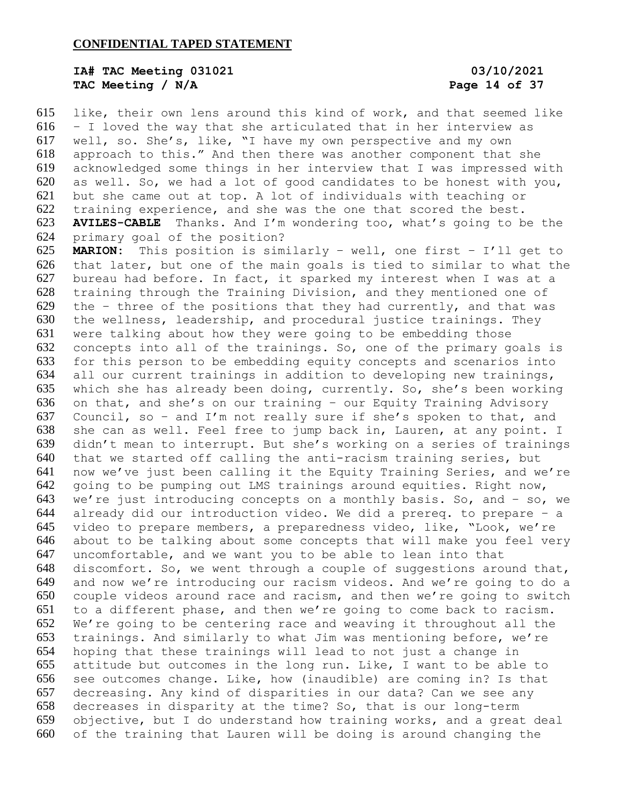# **IA# TAC Meeting 031021 03/10/2021 TAC Meeting / N/A Page 14 of 37**

 like, their own lens around this kind of work, and that seemed like – I loved the way that she articulated that in her interview as well, so. She's, like, "I have my own perspective and my own approach to this." And then there was another component that she acknowledged some things in her interview that I was impressed with as well. So, we had a lot of good candidates to be honest with you, but she came out at top. A lot of individuals with teaching or training experience, and she was the one that scored the best. **AVILES-CABLE** Thanks. And I'm wondering too, what's going to be the primary goal of the position? **MARION:** This position is similarly – well, one first – I'll get to that later, but one of the main goals is tied to similar to what the bureau had before. In fact, it sparked my interest when I was at a training through the Training Division, and they mentioned one of 629 the  $-$  three of the positions that they had currently, and that was the wellness, leadership, and procedural justice trainings. They were talking about how they were going to be embedding those concepts into all of the trainings. So, one of the primary goals is for this person to be embedding equity concepts and scenarios into all our current trainings in addition to developing new trainings, which she has already been doing, currently. So, she's been working on that, and she's on our training – our Equity Training Advisory Council, so – and I'm not really sure if she's spoken to that, and she can as well. Feel free to jump back in, Lauren, at any point. I didn't mean to interrupt. But she's working on a series of trainings that we started off calling the anti-racism training series, but now we've just been calling it the Equity Training Series, and we're going to be pumping out LMS trainings around equities. Right now, we're just introducing concepts on a monthly basis. So, and – so, we already did our introduction video. We did a prereq. to prepare – a video to prepare members, a preparedness video, like, "Look, we're about to be talking about some concepts that will make you feel very uncomfortable, and we want you to be able to lean into that discomfort. So, we went through a couple of suggestions around that, and now we're introducing our racism videos. And we're going to do a couple videos around race and racism, and then we're going to switch to a different phase, and then we're going to come back to racism. We're going to be centering race and weaving it throughout all the trainings. And similarly to what Jim was mentioning before, we're hoping that these trainings will lead to not just a change in attitude but outcomes in the long run. Like, I want to be able to see outcomes change. Like, how (inaudible) are coming in? Is that decreasing. Any kind of disparities in our data? Can we see any decreases in disparity at the time? So, that is our long-term objective, but I do understand how training works, and a great deal of the training that Lauren will be doing is around changing the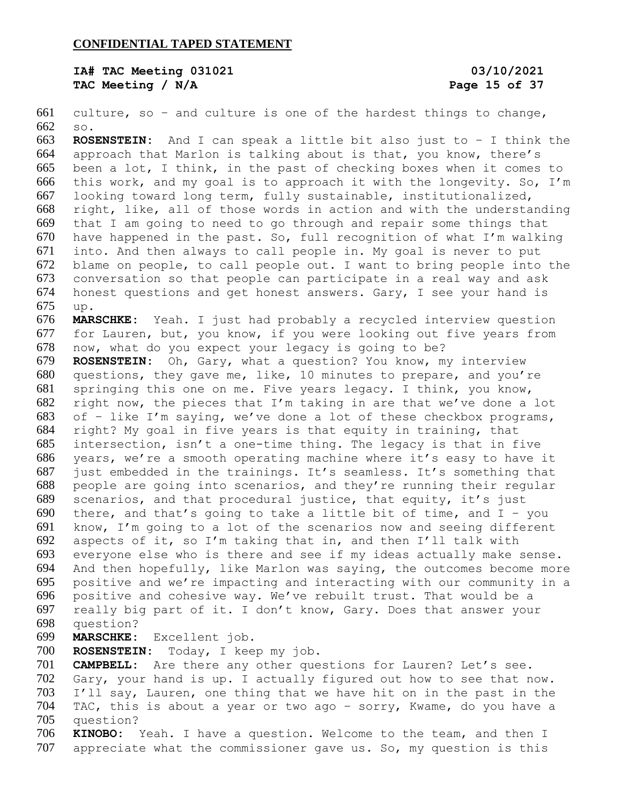**IA# TAC Meeting 031021 03/10/2021 TAC Meeting / N/A Page 15 of 37**

 culture, so – and culture is one of the hardest things to change, so.

 **ROSENSTEIN:** And I can speak a little bit also just to – I think the approach that Marlon is talking about is that, you know, there's been a lot, I think, in the past of checking boxes when it comes to this work, and my goal is to approach it with the longevity. So, I'm looking toward long term, fully sustainable, institutionalized, right, like, all of those words in action and with the understanding that I am going to need to go through and repair some things that have happened in the past. So, full recognition of what I'm walking into. And then always to call people in. My goal is never to put blame on people, to call people out. I want to bring people into the conversation so that people can participate in a real way and ask honest questions and get honest answers. Gary, I see your hand is up.

 **MARSCHKE:** Yeah. I just had probably a recycled interview question for Lauren, but, you know, if you were looking out five years from now, what do you expect your legacy is going to be?

 **ROSENSTEIN:** Oh, Gary, what a question? You know, my interview questions, they gave me, like, 10 minutes to prepare, and you're springing this one on me. Five years legacy. I think, you know, right now, the pieces that I'm taking in are that we've done a lot of – like I'm saying, we've done a lot of these checkbox programs, right? My goal in five years is that equity in training, that intersection, isn't a one-time thing. The legacy is that in five years, we're a smooth operating machine where it's easy to have it just embedded in the trainings. It's seamless. It's something that people are going into scenarios, and they're running their regular scenarios, and that procedural justice, that equity, it's just 690 there, and that's going to take a little bit of time, and  $I - you$  know, I'm going to a lot of the scenarios now and seeing different aspects of it, so I'm taking that in, and then I'll talk with everyone else who is there and see if my ideas actually make sense. And then hopefully, like Marlon was saying, the outcomes become more positive and we're impacting and interacting with our community in a positive and cohesive way. We've rebuilt trust. That would be a really big part of it. I don't know, Gary. Does that answer your question?

**MARSCHKE:** Excellent job.

**ROSENSTEIN:** Today, I keep my job.

 **CAMPBELL:** Are there any other questions for Lauren? Let's see. Gary, your hand is up. I actually figured out how to see that now. I'll say, Lauren, one thing that we have hit on in the past in the TAC, this is about a year or two ago – sorry, Kwame, do you have a question?

 **KINOBO:** Yeah. I have a question. Welcome to the team, and then I appreciate what the commissioner gave us. So, my question is this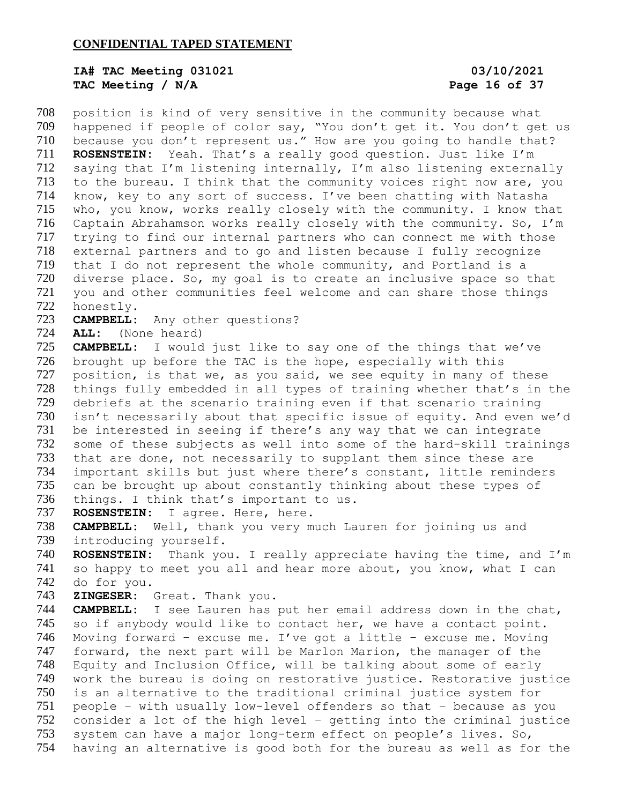# **IA# TAC Meeting 031021 03/10/2021 TAC Meeting / N/A Page 16 of 37**

 position is kind of very sensitive in the community because what happened if people of color say, "You don't get it. You don't get us 710 because you don't represent us." How are you going to handle that? **ROSENSTEIN:** Yeah. That's a really good question. Just like I'm saying that I'm listening internally, I'm also listening externally to the bureau. I think that the community voices right now are, you know, key to any sort of success. I've been chatting with Natasha who, you know, works really closely with the community. I know that Captain Abrahamson works really closely with the community. So, I'm trying to find our internal partners who can connect me with those external partners and to go and listen because I fully recognize that I do not represent the whole community, and Portland is a diverse place. So, my goal is to create an inclusive space so that you and other communities feel welcome and can share those things honestly.

**CAMPBELL:** Any other questions?

**ALL:** (None heard)

 **CAMPBELL:** I would just like to say one of the things that we've brought up before the TAC is the hope, especially with this 727 position, is that we, as you said, we see equity in many of these things fully embedded in all types of training whether that's in the debriefs at the scenario training even if that scenario training isn't necessarily about that specific issue of equity. And even we'd be interested in seeing if there's any way that we can integrate some of these subjects as well into some of the hard-skill trainings that are done, not necessarily to supplant them since these are important skills but just where there's constant, little reminders can be brought up about constantly thinking about these types of 736 things. I think that's important to us.

**ROSENSTEIN:** I agree. Here, here.

 **CAMPBELL:** Well, thank you very much Lauren for joining us and introducing yourself.

 **ROSENSTEIN:** Thank you. I really appreciate having the time, and I'm so happy to meet you all and hear more about, you know, what I can do for you.

**ZINGESER:** Great. Thank you.

 **CAMPBELL:** I see Lauren has put her email address down in the chat, so if anybody would like to contact her, we have a contact point. Moving forward – excuse me. I've got a little – excuse me. Moving forward, the next part will be Marlon Marion, the manager of the Equity and Inclusion Office, will be talking about some of early work the bureau is doing on restorative justice. Restorative justice is an alternative to the traditional criminal justice system for people – with usually low-level offenders so that – because as you consider a lot of the high level – getting into the criminal justice system can have a major long-term effect on people's lives. So, having an alternative is good both for the bureau as well as for the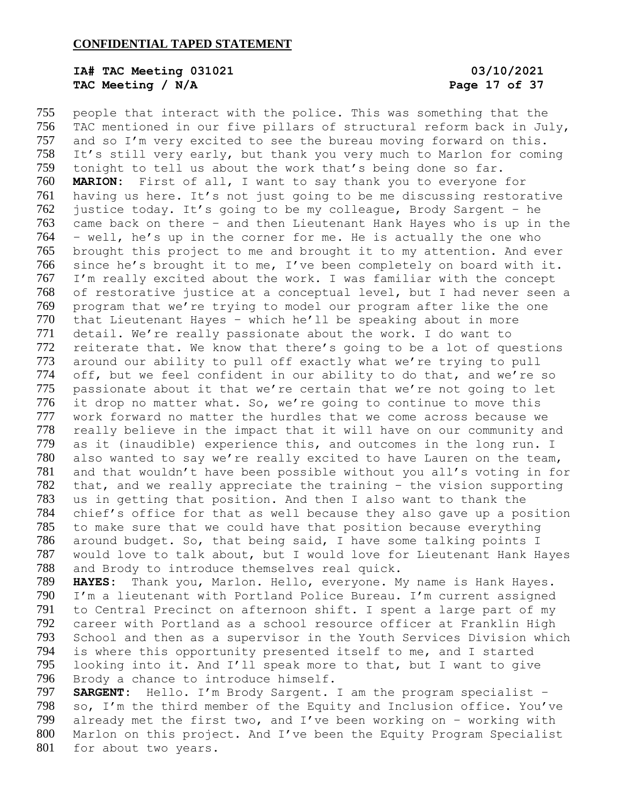# **IA# TAC Meeting 031021 03/10/2021 TAC Meeting / N/A Page 17 of 37**

 people that interact with the police. This was something that the TAC mentioned in our five pillars of structural reform back in July, and so I'm very excited to see the bureau moving forward on this. It's still very early, but thank you very much to Marlon for coming tonight to tell us about the work that's being done so far. **MARION:** First of all, I want to say thank you to everyone for having us here. It's not just going to be me discussing restorative justice today. It's going to be my colleague, Brody Sargent – he came back on there – and then Lieutenant Hank Hayes who is up in the – well, he's up in the corner for me. He is actually the one who brought this project to me and brought it to my attention. And ever since he's brought it to me, I've been completely on board with it. I'm really excited about the work. I was familiar with the concept of restorative justice at a conceptual level, but I had never seen a program that we're trying to model our program after like the one that Lieutenant Hayes – which he'll be speaking about in more detail. We're really passionate about the work. I do want to reiterate that. We know that there's going to be a lot of questions around our ability to pull off exactly what we're trying to pull off, but we feel confident in our ability to do that, and we're so passionate about it that we're certain that we're not going to let 776 it drop no matter what. So, we're going to continue to move this work forward no matter the hurdles that we come across because we really believe in the impact that it will have on our community and as it (inaudible) experience this, and outcomes in the long run. I also wanted to say we're really excited to have Lauren on the team, and that wouldn't have been possible without you all's voting in for that, and we really appreciate the training – the vision supporting us in getting that position. And then I also want to thank the chief's office for that as well because they also gave up a position to make sure that we could have that position because everything around budget. So, that being said, I have some talking points I would love to talk about, but I would love for Lieutenant Hank Hayes and Brody to introduce themselves real quick. **HAYES:** Thank you, Marlon. Hello, everyone. My name is Hank Hayes.

 I'm a lieutenant with Portland Police Bureau. I'm current assigned to Central Precinct on afternoon shift. I spent a large part of my career with Portland as a school resource officer at Franklin High School and then as a supervisor in the Youth Services Division which is where this opportunity presented itself to me, and I started looking into it. And I'll speak more to that, but I want to give Brody a chance to introduce himself.

 **SARGENT:** Hello. I'm Brody Sargent. I am the program specialist – so, I'm the third member of the Equity and Inclusion office. You've already met the first two, and I've been working on – working with Marlon on this project. And I've been the Equity Program Specialist for about two years.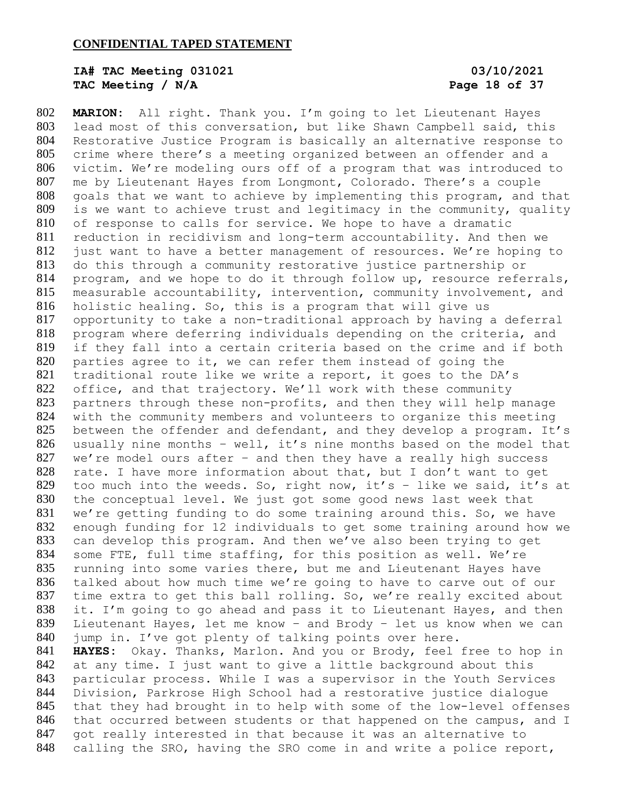# **IA# TAC Meeting 031021 03/10/2021 TAC Meeting / N/A Page 18 of 37**

 **MARION:** All right. Thank you. I'm going to let Lieutenant Hayes lead most of this conversation, but like Shawn Campbell said, this Restorative Justice Program is basically an alternative response to crime where there's a meeting organized between an offender and a victim. We're modeling ours off of a program that was introduced to me by Lieutenant Hayes from Longmont, Colorado. There's a couple goals that we want to achieve by implementing this program, and that is we want to achieve trust and legitimacy in the community, quality of response to calls for service. We hope to have a dramatic reduction in recidivism and long-term accountability. And then we just want to have a better management of resources. We're hoping to do this through a community restorative justice partnership or program, and we hope to do it through follow up, resource referrals, measurable accountability, intervention, community involvement, and holistic healing. So, this is a program that will give us opportunity to take a non-traditional approach by having a deferral program where deferring individuals depending on the criteria, and if they fall into a certain criteria based on the crime and if both parties agree to it, we can refer them instead of going the traditional route like we write a report, it goes to the DA's 822 office, and that trajectory. We'll work with these community partners through these non-profits, and then they will help manage with the community members and volunteers to organize this meeting between the offender and defendant, and they develop a program. It's usually nine months – well, it's nine months based on the model that 827 we're model ours after  $-$  and then they have a really high success rate. I have more information about that, but I don't want to get 829 too much into the weeds. So, right now, it's - like we said, it's at the conceptual level. We just got some good news last week that we're getting funding to do some training around this. So, we have enough funding for 12 individuals to get some training around how we can develop this program. And then we've also been trying to get some FTE, full time staffing, for this position as well. We're running into some varies there, but me and Lieutenant Hayes have talked about how much time we're going to have to carve out of our time extra to get this ball rolling. So, we're really excited about it. I'm going to go ahead and pass it to Lieutenant Hayes, and then Lieutenant Hayes, let me know – and Brody – let us know when we can 840 jump in. I've got plenty of talking points over here. **HAYES:** Okay. Thanks, Marlon. And you or Brody, feel free to hop in at any time. I just want to give a little background about this particular process. While I was a supervisor in the Youth Services Division, Parkrose High School had a restorative justice dialogue that they had brought in to help with some of the low-level offenses 846 that occurred between students or that happened on the campus, and I got really interested in that because it was an alternative to calling the SRO, having the SRO come in and write a police report,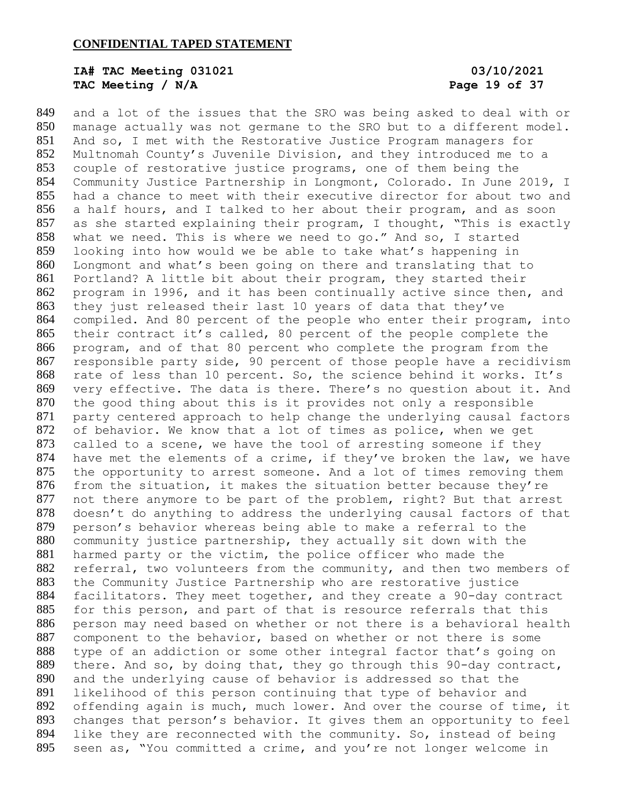# **IA# TAC Meeting 031021 03/10/2021 TAC Meeting / N/A Page 19 of 37**

 and a lot of the issues that the SRO was being asked to deal with or manage actually was not germane to the SRO but to a different model. And so, I met with the Restorative Justice Program managers for Multnomah County's Juvenile Division, and they introduced me to a couple of restorative justice programs, one of them being the Community Justice Partnership in Longmont, Colorado. In June 2019, I had a chance to meet with their executive director for about two and a half hours, and I talked to her about their program, and as soon as she started explaining their program, I thought, "This is exactly what we need. This is where we need to go." And so, I started looking into how would we be able to take what's happening in Longmont and what's been going on there and translating that to Portland? A little bit about their program, they started their program in 1996, and it has been continually active since then, and they just released their last 10 years of data that they've compiled. And 80 percent of the people who enter their program, into their contract it's called, 80 percent of the people complete the program, and of that 80 percent who complete the program from the responsible party side, 90 percent of those people have a recidivism rate of less than 10 percent. So, the science behind it works. It's very effective. The data is there. There's no question about it. And the good thing about this is it provides not only a responsible party centered approach to help change the underlying causal factors of behavior. We know that a lot of times as police, when we get 873 called to a scene, we have the tool of arresting someone if they have met the elements of a crime, if they've broken the law, we have the opportunity to arrest someone. And a lot of times removing them from the situation, it makes the situation better because they're not there anymore to be part of the problem, right? But that arrest doesn't do anything to address the underlying causal factors of that person's behavior whereas being able to make a referral to the community justice partnership, they actually sit down with the harmed party or the victim, the police officer who made the 882 referral, two volunteers from the community, and then two members of the Community Justice Partnership who are restorative justice facilitators. They meet together, and they create a 90-day contract for this person, and part of that is resource referrals that this person may need based on whether or not there is a behavioral health component to the behavior, based on whether or not there is some type of an addiction or some other integral factor that's going on there. And so, by doing that, they go through this 90-day contract, and the underlying cause of behavior is addressed so that the likelihood of this person continuing that type of behavior and offending again is much, much lower. And over the course of time, it changes that person's behavior. It gives them an opportunity to feel like they are reconnected with the community. So, instead of being seen as, "You committed a crime, and you're not longer welcome in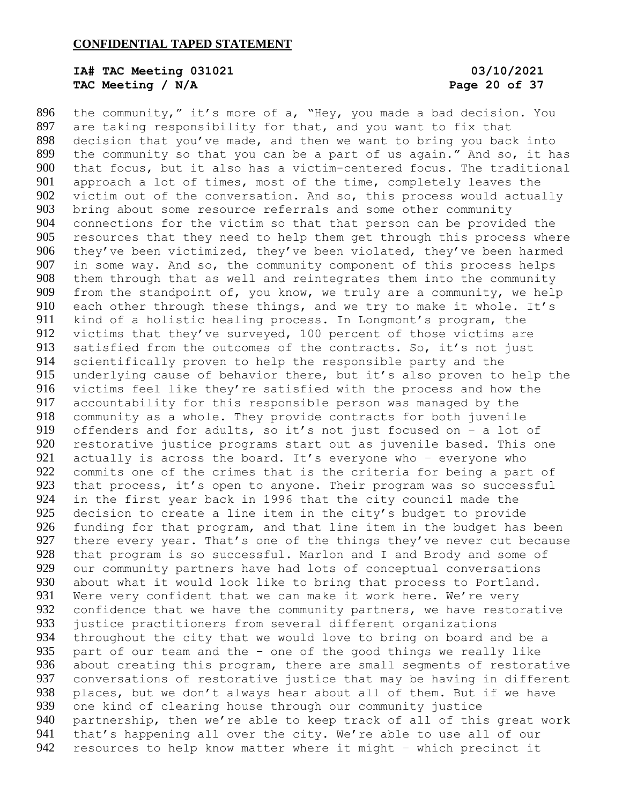# **IA# TAC Meeting 031021 03/10/2021 TAC Meeting / N/A Page 20 of 37**

 the community," it's more of a, "Hey, you made a bad decision. You are taking responsibility for that, and you want to fix that decision that you've made, and then we want to bring you back into the community so that you can be a part of us again." And so, it has that focus, but it also has a victim-centered focus. The traditional approach a lot of times, most of the time, completely leaves the victim out of the conversation. And so, this process would actually bring about some resource referrals and some other community connections for the victim so that that person can be provided the resources that they need to help them get through this process where they've been victimized, they've been violated, they've been harmed in some way. And so, the community component of this process helps them through that as well and reintegrates them into the community from the standpoint of, you know, we truly are a community, we help 910 each other through these things, and we try to make it whole. It's kind of a holistic healing process. In Longmont's program, the victims that they've surveyed, 100 percent of those victims are 913 satisfied from the outcomes of the contracts. So, it's not just scientifically proven to help the responsible party and the underlying cause of behavior there, but it's also proven to help the victims feel like they're satisfied with the process and how the accountability for this responsible person was managed by the community as a whole. They provide contracts for both juvenile 919 offenders and for adults, so it's not just focused on - a lot of restorative justice programs start out as juvenile based. This one 921 actually is across the board. It's everyone who - everyone who commits one of the crimes that is the criteria for being a part of 923 that process, it's open to anyone. Their program was so successful in the first year back in 1996 that the city council made the decision to create a line item in the city's budget to provide funding for that program, and that line item in the budget has been 927 there every year. That's one of the things they've never cut because that program is so successful. Marlon and I and Brody and some of our community partners have had lots of conceptual conversations 930 about what it would look like to bring that process to Portland. 931 Were very confident that we can make it work here. We're very 932 confidence that we have the community partners, we have restorative justice practitioners from several different organizations 934 throughout the city that we would love to bring on board and be a<br>935 part of our team and the - one of the good things we really like part of our team and the  $-$  one of the good things we really like about creating this program, there are small segments of restorative conversations of restorative justice that may be having in different 938 places, but we don't always hear about all of them. But if we have one kind of clearing house through our community justice partnership, then we're able to keep track of all of this great work that's happening all over the city. We're able to use all of our resources to help know matter where it might – which precinct it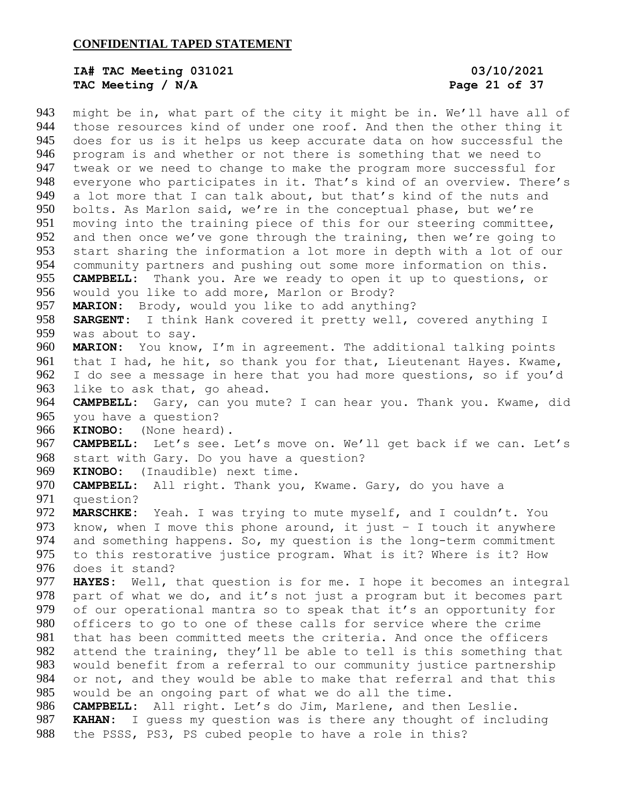# **IA# TAC Meeting 031021 03/10/2021 TAC Meeting / N/A Page 21 of 37**

 might be in, what part of the city it might be in. We'll have all of those resources kind of under one roof. And then the other thing it does for us is it helps us keep accurate data on how successful the program is and whether or not there is something that we need to tweak or we need to change to make the program more successful for everyone who participates in it. That's kind of an overview. There's 949 a lot more that I can talk about, but that's kind of the nuts and bolts. As Marlon said, we're in the conceptual phase, but we're moving into the training piece of this for our steering committee, and then once we've gone through the training, then we're going to start sharing the information a lot more in depth with a lot of our community partners and pushing out some more information on this. **CAMPBELL:** Thank you. Are we ready to open it up to questions, or would you like to add more, Marlon or Brody? **MARION:** Brody, would you like to add anything? **SARGENT:** I think Hank covered it pretty well, covered anything I was about to say. **MARION:** You know, I'm in agreement. The additional talking points that I had, he hit, so thank you for that, Lieutenant Hayes. Kwame, I do see a message in here that you had more questions, so if you'd like to ask that, go ahead. **CAMPBELL:** Gary, can you mute? I can hear you. Thank you. Kwame, did you have a question? **KINOBO:** (None heard). **CAMPBELL:** Let's see. Let's move on. We'll get back if we can. Let's start with Gary. Do you have a question? **KINOBO:** (Inaudible) next time. **CAMPBELL:** All right. Thank you, Kwame. Gary, do you have a question? **MARSCHKE:** Yeah. I was trying to mute myself, and I couldn't. You 973 know, when I move this phone around, it just - I touch it anywhere and something happens. So, my question is the long-term commitment to this restorative justice program. What is it? Where is it? How does it stand? **HAYES:** Well, that question is for me. I hope it becomes an integral part of what we do, and it's not just a program but it becomes part of our operational mantra so to speak that it's an opportunity for officers to go to one of these calls for service where the crime that has been committed meets the criteria. And once the officers attend the training, they'll be able to tell is this something that would benefit from a referral to our community justice partnership or not, and they would be able to make that referral and that this would be an ongoing part of what we do all the time. **CAMPBELL:** All right. Let's do Jim, Marlene, and then Leslie. **KAHAN:** I guess my question was is there any thought of including the PSSS, PS3, PS cubed people to have a role in this?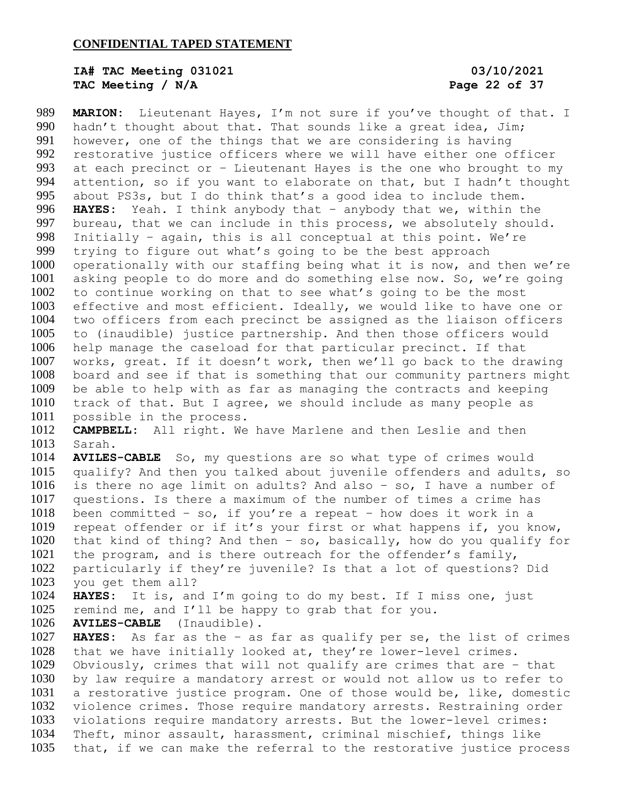# **IA# TAC Meeting 031021 03/10/2021 TAC Meeting / N/A Page 22 of 37**

 **MARION:** Lieutenant Hayes, I'm not sure if you've thought of that. I 990 hadn't thought about that. That sounds like a great idea, Jim; however, one of the things that we are considering is having restorative justice officers where we will have either one officer at each precinct or – Lieutenant Hayes is the one who brought to my attention, so if you want to elaborate on that, but I hadn't thought about PS3s, but I do think that's a good idea to include them. **HAYES:** Yeah. I think anybody that – anybody that we, within the bureau, that we can include in this process, we absolutely should. Initially – again, this is all conceptual at this point. We're trying to figure out what's going to be the best approach 1000 operationally with our staffing being what it is now, and then we're asking people to do more and do something else now. So, we're going to continue working on that to see what's going to be the most effective and most efficient. Ideally, we would like to have one or two officers from each precinct be assigned as the liaison officers to (inaudible) justice partnership. And then those officers would help manage the caseload for that particular precinct. If that works, great. If it doesn't work, then we'll go back to the drawing board and see if that is something that our community partners might be able to help with as far as managing the contracts and keeping track of that. But I agree, we should include as many people as possible in the process. **CAMPBELL:** All right. We have Marlene and then Leslie and then Sarah. **AVILES-CABLE** So, my questions are so what type of crimes would qualify? And then you talked about juvenile offenders and adults, so is there no age limit on adults? And also – so, I have a number of questions. Is there a maximum of the number of times a crime has been committed – so, if you're a repeat – how does it work in a repeat offender or if it's your first or what happens if, you know, that kind of thing? And then – so, basically, how do you qualify for the program, and is there outreach for the offender's family, particularly if they're juvenile? Is that a lot of questions? Did you get them all? **HAYES:** It is, and I'm going to do my best. If I miss one, just remind me, and I'll be happy to grab that for you. **AVILES-CABLE** (Inaudible). **HAYES:** As far as the – as far as qualify per se, the list of crimes that we have initially looked at, they're lower-level crimes. Obviously, crimes that will not qualify are crimes that are – that by law require a mandatory arrest or would not allow us to refer to a restorative justice program. One of those would be, like, domestic violence crimes. Those require mandatory arrests. Restraining order violations require mandatory arrests. But the lower-level crimes: Theft, minor assault, harassment, criminal mischief, things like that, if we can make the referral to the restorative justice process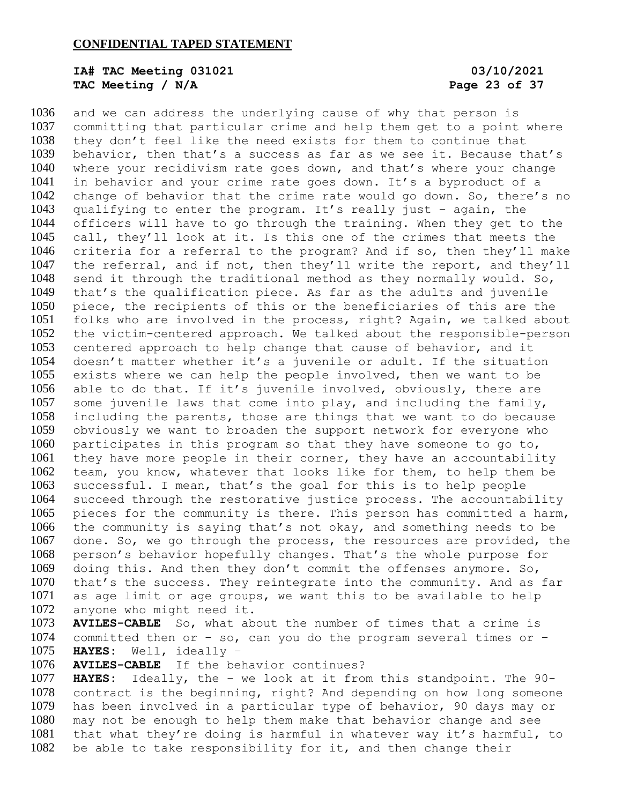# **IA# TAC Meeting 031021 03/10/2021 TAC Meeting / N/A Page 23 of 37**

 and we can address the underlying cause of why that person is committing that particular crime and help them get to a point where they don't feel like the need exists for them to continue that behavior, then that's a success as far as we see it. Because that's where your recidivism rate goes down, and that's where your change in behavior and your crime rate goes down. It's a byproduct of a change of behavior that the crime rate would go down. So, there's no qualifying to enter the program. It's really just – again, the officers will have to go through the training. When they get to the call, they'll look at it. Is this one of the crimes that meets the criteria for a referral to the program? And if so, then they'll make the referral, and if not, then they'll write the report, and they'll send it through the traditional method as they normally would. So, that's the qualification piece. As far as the adults and juvenile piece, the recipients of this or the beneficiaries of this are the folks who are involved in the process, right? Again, we talked about the victim-centered approach. We talked about the responsible-person centered approach to help change that cause of behavior, and it doesn't matter whether it's a juvenile or adult. If the situation exists where we can help the people involved, then we want to be able to do that. If it's juvenile involved, obviously, there are some juvenile laws that come into play, and including the family, including the parents, those are things that we want to do because obviously we want to broaden the support network for everyone who participates in this program so that they have someone to go to, they have more people in their corner, they have an accountability team, you know, whatever that looks like for them, to help them be successful. I mean, that's the goal for this is to help people succeed through the restorative justice process. The accountability pieces for the community is there. This person has committed a harm, the community is saying that's not okay, and something needs to be done. So, we go through the process, the resources are provided, the person's behavior hopefully changes. That's the whole purpose for doing this. And then they don't commit the offenses anymore. So, that's the success. They reintegrate into the community. And as far as age limit or age groups, we want this to be available to help anyone who might need it.

 **AVILES-CABLE** So, what about the number of times that a crime is 1074 committed then or  $-$  so, can you do the program several times or  $-$ **HAYES:** Well, ideally –

**AVILES-CABLE** If the behavior continues?

 **HAYES:** Ideally, the – we look at it from this standpoint. The 90- contract is the beginning, right? And depending on how long someone has been involved in a particular type of behavior, 90 days may or may not be enough to help them make that behavior change and see that what they're doing is harmful in whatever way it's harmful, to be able to take responsibility for it, and then change their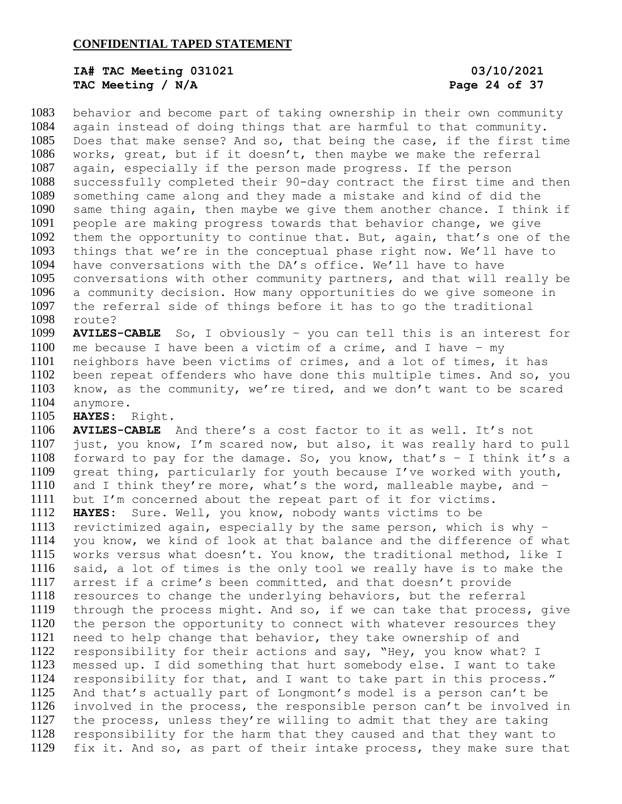# **IA# TAC Meeting 031021 03/10/2021 TAC Meeting / N/A Page 24 of 37**

 behavior and become part of taking ownership in their own community again instead of doing things that are harmful to that community. Does that make sense? And so, that being the case, if the first time works, great, but if it doesn't, then maybe we make the referral again, especially if the person made progress. If the person successfully completed their 90-day contract the first time and then something came along and they made a mistake and kind of did the same thing again, then maybe we give them another chance. I think if people are making progress towards that behavior change, we give them the opportunity to continue that. But, again, that's one of the things that we're in the conceptual phase right now. We'll have to have conversations with the DA's office. We'll have to have conversations with other community partners, and that will really be a community decision. How many opportunities do we give someone in the referral side of things before it has to go the traditional route?

 **AVILES-CABLE** So, I obviously – you can tell this is an interest for me because I have been a victim of a crime, and I have – my neighbors have been victims of crimes, and a lot of times, it has been repeat offenders who have done this multiple times. And so, you know, as the community, we're tired, and we don't want to be scared anymore.

**HAYES:** Right.

 **AVILES-CABLE** And there's a cost factor to it as well. It's not just, you know, I'm scared now, but also, it was really hard to pull 1108 forward to pay for the damage. So, you know, that's  $-$  I think it's a great thing, particularly for youth because I've worked with youth, and I think they're more, what's the word, malleable maybe, and – but I'm concerned about the repeat part of it for victims. **HAYES:** Sure. Well, you know, nobody wants victims to be revictimized again, especially by the same person, which is why – you know, we kind of look at that balance and the difference of what works versus what doesn't. You know, the traditional method, like I said, a lot of times is the only tool we really have is to make the arrest if a crime's been committed, and that doesn't provide resources to change the underlying behaviors, but the referral through the process might. And so, if we can take that process, give the person the opportunity to connect with whatever resources they need to help change that behavior, they take ownership of and responsibility for their actions and say, "Hey, you know what? I messed up. I did something that hurt somebody else. I want to take responsibility for that, and I want to take part in this process." And that's actually part of Longmont's model is a person can't be involved in the process, the responsible person can't be involved in the process, unless they're willing to admit that they are taking responsibility for the harm that they caused and that they want to fix it. And so, as part of their intake process, they make sure that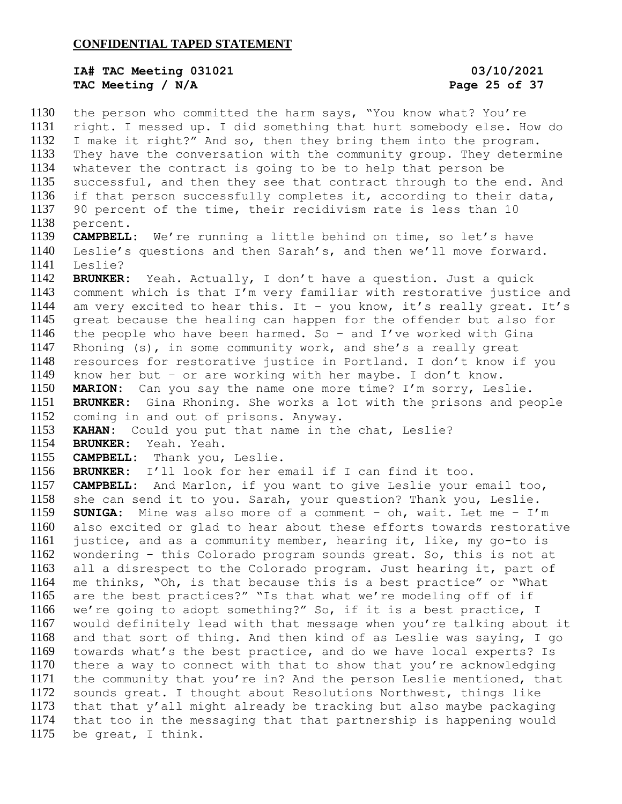## **IA# TAC Meeting 031021 03/10/2021 TAC Meeting / N/A Page 25 of 37**

 the person who committed the harm says, "You know what? You're right. I messed up. I did something that hurt somebody else. How do I make it right?" And so, then they bring them into the program. They have the conversation with the community group. They determine whatever the contract is going to be to help that person be successful, and then they see that contract through to the end. And if that person successfully completes it, according to their data, 90 percent of the time, their recidivism rate is less than 10 percent. **CAMPBELL:** We're running a little behind on time, so let's have Leslie's questions and then Sarah's, and then we'll move forward. Leslie? **BRUNKER:** Yeah. Actually, I don't have a question. Just a quick comment which is that I'm very familiar with restorative justice and am very excited to hear this. It – you know, it's really great. It's great because the healing can happen for the offender but also for the people who have been harmed. So – and I've worked with Gina Rhoning (s), in some community work, and she's a really great resources for restorative justice in Portland. I don't know if you know her but – or are working with her maybe. I don't know. **MARION:** Can you say the name one more time? I'm sorry, Leslie. **BRUNKER:** Gina Rhoning. She works a lot with the prisons and people coming in and out of prisons. Anyway. **KAHAN:** Could you put that name in the chat, Leslie? **BRUNKER:** Yeah. Yeah. **CAMPBELL:** Thank you, Leslie. **BRUNKER:** I'll look for her email if I can find it too. **CAMPBELL:** And Marlon, if you want to give Leslie your email too, she can send it to you. Sarah, your question? Thank you, Leslie. **SUNIGA:** Mine was also more of a comment – oh, wait. Let me – I'm also excited or glad to hear about these efforts towards restorative justice, and as a community member, hearing it, like, my go-to is wondering – this Colorado program sounds great. So, this is not at all a disrespect to the Colorado program. Just hearing it, part of me thinks, "Oh, is that because this is a best practice" or "What are the best practices?" "Is that what we're modeling off of if we're going to adopt something?" So, if it is a best practice, I would definitely lead with that message when you're talking about it and that sort of thing. And then kind of as Leslie was saying, I go towards what's the best practice, and do we have local experts? Is there a way to connect with that to show that you're acknowledging the community that you're in? And the person Leslie mentioned, that sounds great. I thought about Resolutions Northwest, things like 1173 that that  $y'$  all might already be tracking but also maybe packaging that too in the messaging that that partnership is happening would be great, I think.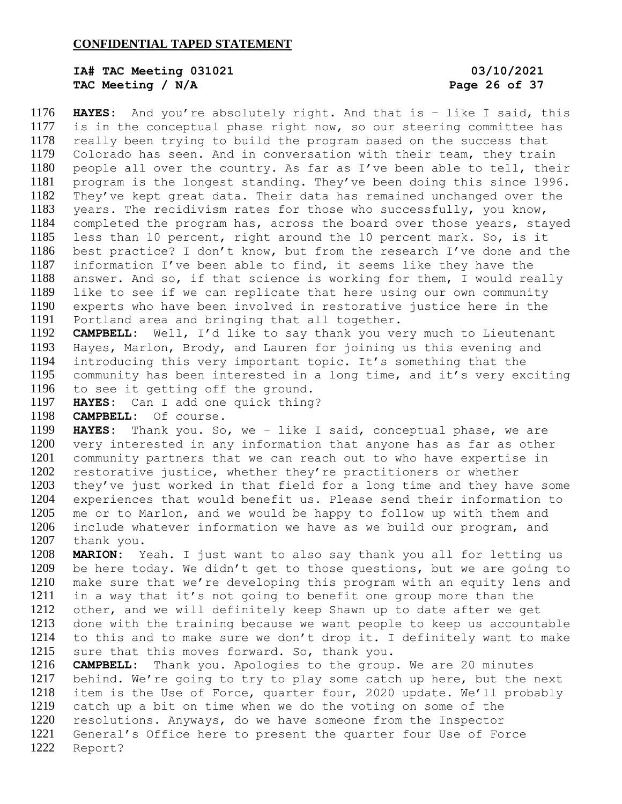# **IA# TAC Meeting 031021 03/10/2021 TAC Meeting / N/A Page 26 of 37**

 **HAYES:** And you're absolutely right. And that is – like I said, this is in the conceptual phase right now, so our steering committee has really been trying to build the program based on the success that Colorado has seen. And in conversation with their team, they train people all over the country. As far as I've been able to tell, their program is the longest standing. They've been doing this since 1996. They've kept great data. Their data has remained unchanged over the years. The recidivism rates for those who successfully, you know, completed the program has, across the board over those years, stayed less than 10 percent, right around the 10 percent mark. So, is it best practice? I don't know, but from the research I've done and the information I've been able to find, it seems like they have the answer. And so, if that science is working for them, I would really like to see if we can replicate that here using our own community experts who have been involved in restorative justice here in the Portland area and bringing that all together.

 **CAMPBELL:** Well, I'd like to say thank you very much to Lieutenant Hayes, Marlon, Brody, and Lauren for joining us this evening and introducing this very important topic. It's something that the community has been interested in a long time, and it's very exciting to see it getting off the ground.

**HAYES:** Can I add one quick thing?

**CAMPBELL:** Of course.

 **HAYES:** Thank you. So, we – like I said, conceptual phase, we are very interested in any information that anyone has as far as other community partners that we can reach out to who have expertise in restorative justice, whether they're practitioners or whether they've just worked in that field for a long time and they have some experiences that would benefit us. Please send their information to me or to Marlon, and we would be happy to follow up with them and include whatever information we have as we build our program, and thank you.

 **MARION:** Yeah. I just want to also say thank you all for letting us be here today. We didn't get to those questions, but we are going to make sure that we're developing this program with an equity lens and in a way that it's not going to benefit one group more than the other, and we will definitely keep Shawn up to date after we get done with the training because we want people to keep us accountable to this and to make sure we don't drop it. I definitely want to make sure that this moves forward. So, thank you.

 **CAMPBELL:** Thank you. Apologies to the group. We are 20 minutes behind. We're going to try to play some catch up here, but the next item is the Use of Force, quarter four, 2020 update. We'll probably catch up a bit on time when we do the voting on some of the resolutions. Anyways, do we have someone from the Inspector General's Office here to present the quarter four Use of Force Report?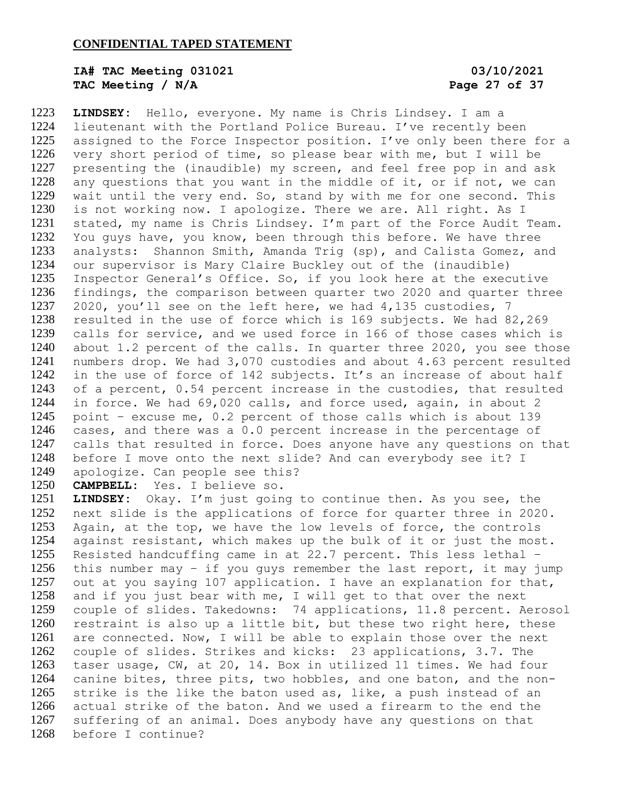# **IA# TAC Meeting 031021 03/10/2021 TAC Meeting / N/A Page 27 of 37**

 **LINDSEY:** Hello, everyone. My name is Chris Lindsey. I am a lieutenant with the Portland Police Bureau. I've recently been 1225 assigned to the Force Inspector position. I've only been there for a very short period of time, so please bear with me, but I will be presenting the (inaudible) my screen, and feel free pop in and ask any questions that you want in the middle of it, or if not, we can wait until the very end. So, stand by with me for one second. This is not working now. I apologize. There we are. All right. As I stated, my name is Chris Lindsey. I'm part of the Force Audit Team. You guys have, you know, been through this before. We have three analysts: Shannon Smith, Amanda Trig (sp), and Calista Gomez, and our supervisor is Mary Claire Buckley out of the (inaudible) Inspector General's Office. So, if you look here at the executive findings, the comparison between quarter two 2020 and quarter three 2020, you'll see on the left here, we had 4,135 custodies, 7 resulted in the use of force which is 169 subjects. We had 82,269 calls for service, and we used force in 166 of those cases which is about 1.2 percent of the calls. In quarter three 2020, you see those numbers drop. We had 3,070 custodies and about 4.63 percent resulted in the use of force of 142 subjects. It's an increase of about half of a percent, 0.54 percent increase in the custodies, that resulted in force. We had 69,020 calls, and force used, again, in about 2 point – excuse me, 0.2 percent of those calls which is about 139 cases, and there was a 0.0 percent increase in the percentage of calls that resulted in force. Does anyone have any questions on that before I move onto the next slide? And can everybody see it? I apologize. Can people see this?

**CAMPBELL:** Yes. I believe so.

 **LINDSEY:** Okay. I'm just going to continue then. As you see, the next slide is the applications of force for quarter three in 2020. Again, at the top, we have the low levels of force, the controls against resistant, which makes up the bulk of it or just the most. Resisted handcuffing came in at 22.7 percent. This less lethal – this number may – if you guys remember the last report, it may jump out at you saying 107 application. I have an explanation for that, and if you just bear with me, I will get to that over the next couple of slides. Takedowns: 74 applications, 11.8 percent. Aerosol restraint is also up a little bit, but these two right here, these are connected. Now, I will be able to explain those over the next couple of slides. Strikes and kicks: 23 applications, 3.7. The taser usage, CW, at 20, 14. Box in utilized 11 times. We had four canine bites, three pits, two hobbles, and one baton, and the non- strike is the like the baton used as, like, a push instead of an actual strike of the baton. And we used a firearm to the end the suffering of an animal. Does anybody have any questions on that before I continue?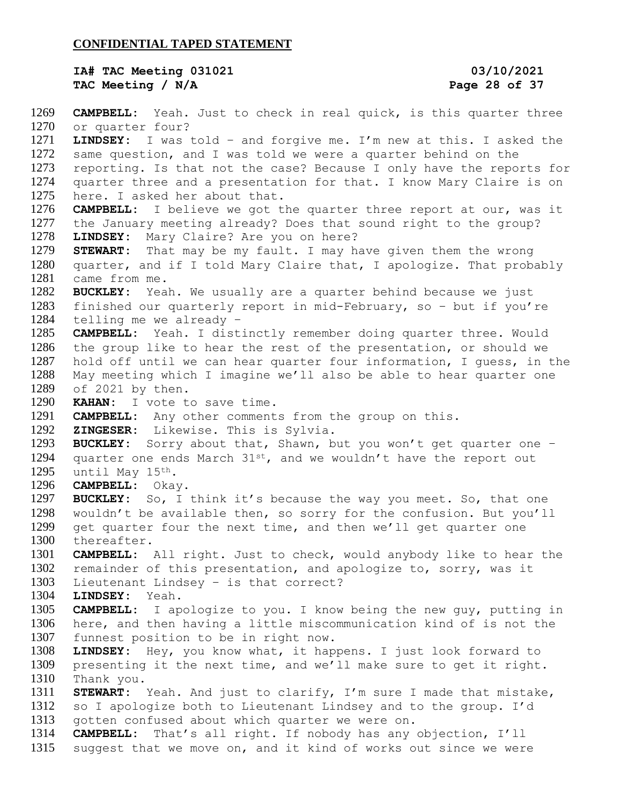**IA# TAC Meeting 031021 03/10/2021 TAC Meeting / N/A Page 28 of 37**

 **CAMPBELL:** Yeah. Just to check in real quick, is this quarter three or quarter four? **LINDSEY:** I was told – and forgive me. I'm new at this. I asked the same question, and I was told we were a quarter behind on the reporting. Is that not the case? Because I only have the reports for quarter three and a presentation for that. I know Mary Claire is on here. I asked her about that. **CAMPBELL:** I believe we got the quarter three report at our, was it the January meeting already? Does that sound right to the group? **LINDSEY:** Mary Claire? Are you on here? **STEWART:** That may be my fault. I may have given them the wrong quarter, and if I told Mary Claire that, I apologize. That probably came from me. **BUCKLEY:** Yeah. We usually are a quarter behind because we just finished our quarterly report in mid-February, so – but if you're telling me we already – **CAMPBELL:** Yeah. I distinctly remember doing quarter three. Would the group like to hear the rest of the presentation, or should we hold off until we can hear quarter four information, I guess, in the May meeting which I imagine we'll also be able to hear quarter one of 2021 by then. **KAHAN:** I vote to save time. **CAMPBELL:** Any other comments from the group on this. **ZINGESER:** Likewise. This is Sylvia. **BUCKLEY:** Sorry about that, Shawn, but you won't get quarter one – 1294 quarter one ends March  $31^{st}$ , and we wouldn't have the report out until May 15th. **CAMPBELL:** Okay. **BUCKLEY:** So, I think it's because the way you meet. So, that one wouldn't be available then, so sorry for the confusion. But you'll get quarter four the next time, and then we'll get quarter one thereafter. **CAMPBELL:** All right. Just to check, would anybody like to hear the remainder of this presentation, and apologize to, sorry, was it Lieutenant Lindsey – is that correct? **LINDSEY:** Yeah. **CAMPBELL:** I apologize to you. I know being the new guy, putting in here, and then having a little miscommunication kind of is not the funnest position to be in right now. **LINDSEY:** Hey, you know what, it happens. I just look forward to presenting it the next time, and we'll make sure to get it right. Thank you. **STEWART:** Yeah. And just to clarify, I'm sure I made that mistake, so I apologize both to Lieutenant Lindsey and to the group. I'd gotten confused about which quarter we were on. **CAMPBELL:** That's all right. If nobody has any objection, I'll suggest that we move on, and it kind of works out since we were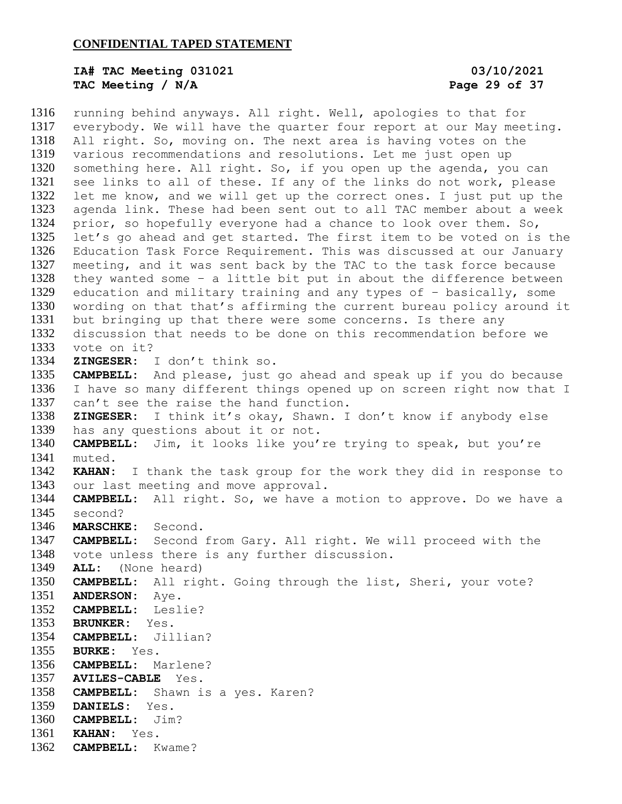# **IA# TAC Meeting 031021 03/10/2021 TAC Meeting / N/A Page 29 of 37**

 running behind anyways. All right. Well, apologies to that for everybody. We will have the quarter four report at our May meeting. All right. So, moving on. The next area is having votes on the various recommendations and resolutions. Let me just open up something here. All right. So, if you open up the agenda, you can see links to all of these. If any of the links do not work, please let me know, and we will get up the correct ones. I just put up the agenda link. These had been sent out to all TAC member about a week 1324 prior, so hopefully everyone had a chance to look over them. So, let's go ahead and get started. The first item to be voted on is the Education Task Force Requirement. This was discussed at our January meeting, and it was sent back by the TAC to the task force because they wanted some – a little bit put in about the difference between education and military training and any types of – basically, some wording on that that's affirming the current bureau policy around it but bringing up that there were some concerns. Is there any discussion that needs to be done on this recommendation before we vote on it? **ZINGESER:** I don't think so. **CAMPBELL:** And please, just go ahead and speak up if you do because I have so many different things opened up on screen right now that I can't see the raise the hand function. **ZINGESER:** I think it's okay, Shawn. I don't know if anybody else has any questions about it or not. **CAMPBELL:** Jim, it looks like you're trying to speak, but you're muted. **KAHAN:** I thank the task group for the work they did in response to our last meeting and move approval. **CAMPBELL:** All right. So, we have a motion to approve. Do we have a second? **MARSCHKE:** Second. **CAMPBELL:** Second from Gary. All right. We will proceed with the vote unless there is any further discussion. **ALL:** (None heard) **CAMPBELL:** All right. Going through the list, Sheri, your vote? **ANDERSON:** Aye. **CAMPBELL:** Leslie? **BRUNKER:** Yes. **CAMPBELL:** Jillian? **BURKE:** Yes. **CAMPBELL:** Marlene? **AVILES-CABLE** Yes. **CAMPBELL:** Shawn is a yes. Karen? **DANIELS:** Yes. **CAMPBELL:** Jim? **KAHAN:** Yes. **CAMPBELL:** Kwame?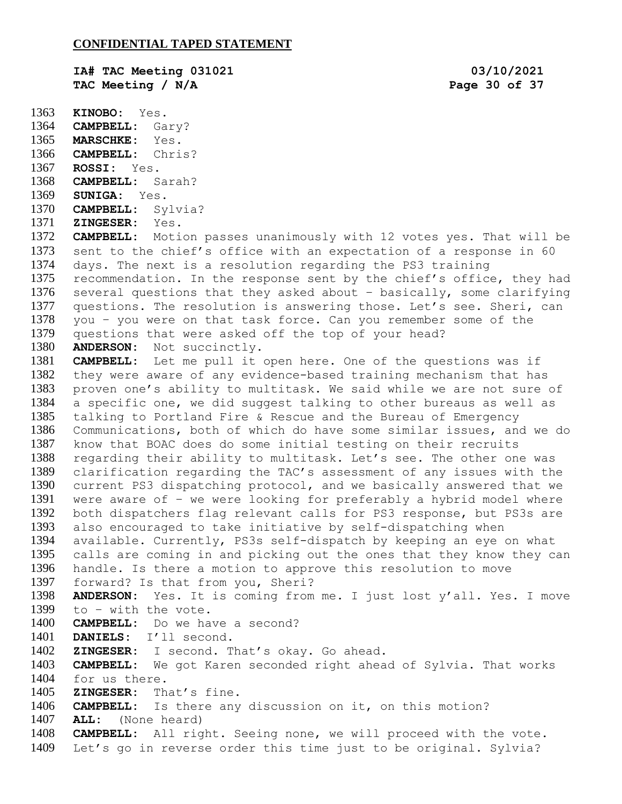**IA# TAC Meeting 031021 03/10/2021 TAC Meeting / N/A Page 30 of 37**

 **KINOBO:** Yes. **CAMPBELL:** Gary? **MARSCHKE:** Yes. **CAMPBELL:** Chris? **ROSSI:** Yes. **CAMPBELL:** Sarah? **SUNIGA:** Yes. **CAMPBELL:** Sylvia? **ZINGESER:** Yes. **CAMPBELL:** Motion passes unanimously with 12 votes yes. That will be sent to the chief's office with an expectation of a response in 60 days. The next is a resolution regarding the PS3 training recommendation. In the response sent by the chief's office, they had several questions that they asked about – basically, some clarifying questions. The resolution is answering those. Let's see. Sheri, can you – you were on that task force. Can you remember some of the questions that were asked off the top of your head? **ANDERSON:** Not succinctly. **CAMPBELL:** Let me pull it open here. One of the questions was if they were aware of any evidence-based training mechanism that has proven one's ability to multitask. We said while we are not sure of a specific one, we did suggest talking to other bureaus as well as talking to Portland Fire & Rescue and the Bureau of Emergency Communications, both of which do have some similar issues, and we do know that BOAC does do some initial testing on their recruits regarding their ability to multitask. Let's see. The other one was clarification regarding the TAC's assessment of any issues with the current PS3 dispatching protocol, and we basically answered that we were aware of – we were looking for preferably a hybrid model where both dispatchers flag relevant calls for PS3 response, but PS3s are also encouraged to take initiative by self-dispatching when available. Currently, PS3s self-dispatch by keeping an eye on what calls are coming in and picking out the ones that they know they can handle. Is there a motion to approve this resolution to move forward? Is that from you, Sheri? **ANDERSON:** Yes. It is coming from me. I just lost y'all. Yes. I move to – with the vote. **CAMPBELL:** Do we have a second? **DANIELS:** I'll second. **ZINGESER:** I second. That's okay. Go ahead. **CAMPBELL:** We got Karen seconded right ahead of Sylvia. That works for us there. **ZINGESER:** That's fine. **CAMPBELL:** Is there any discussion on it, on this motion? **ALL:** (None heard) **CAMPBELL:** All right. Seeing none, we will proceed with the vote. Let's go in reverse order this time just to be original. Sylvia?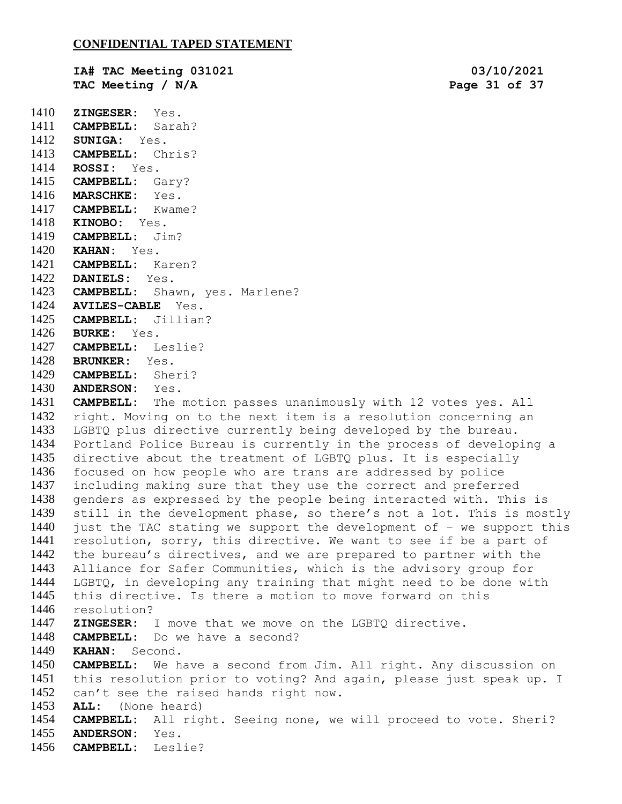**IA# TAC Meeting 031021 03/10/2021 TAC Meeting / N/A Page 31 of 37**

 **ZINGESER:** Yes. **CAMPBELL:** Sarah?

 **SUNIGA:** Yes. **CAMPBELL:** Chris? **ROSSI:** Yes. **CAMPBELL:** Gary? **MARSCHKE:** Yes. **CAMPBELL:** Kwame? **KINOBO:** Yes. **CAMPBELL:** Jim? **KAHAN:** Yes. **CAMPBELL:** Karen? **DANIELS:** Yes. **CAMPBELL:** Shawn, yes. Marlene? **AVILES-CABLE** Yes. **CAMPBELL:** Jillian? **BURKE:** Yes. **CAMPBELL:** Leslie? **BRUNKER:** Yes. **CAMPBELL:** Sheri? **ANDERSON:** Yes. **CAMPBELL:** The motion passes unanimously with 12 votes yes. All right. Moving on to the next item is a resolution concerning an LGBTQ plus directive currently being developed by the bureau. Portland Police Bureau is currently in the process of developing a directive about the treatment of LGBTQ plus. It is especially focused on how people who are trans are addressed by police including making sure that they use the correct and preferred genders as expressed by the people being interacted with. This is still in the development phase, so there's not a lot. This is mostly 1440 just the TAC stating we support the development of  $-$  we support this resolution, sorry, this directive. We want to see if be a part of the bureau's directives, and we are prepared to partner with the Alliance for Safer Communities, which is the advisory group for LGBTQ, in developing any training that might need to be done with this directive. Is there a motion to move forward on this resolution? **ZINGESER:** I move that we move on the LGBTQ directive. **CAMPBELL:** Do we have a second? **KAHAN:** Second. **CAMPBELL:** We have a second from Jim. All right. Any discussion on this resolution prior to voting? And again, please just speak up. I can't see the raised hands right now. **ALL:** (None heard) **CAMPBELL:** All right. Seeing none, we will proceed to vote. Sheri? **ANDERSON:** Yes. **CAMPBELL:** Leslie?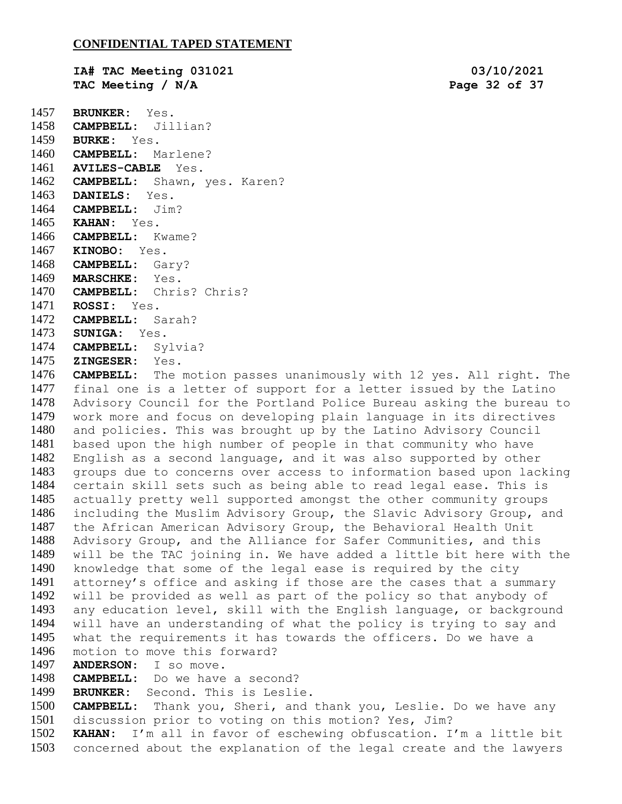**IA# TAC Meeting 031021 03/10/2021 TAC Meeting / N/A Page 32 of 37 BRUNKER:** Yes. **CAMPBELL:** Jillian? **BURKE:** Yes. **CAMPBELL:** Marlene? **AVILES-CABLE** Yes. **CAMPBELL:** Shawn, yes. Karen? **DANIELS:** Yes. **CAMPBELL:** Jim? **KAHAN:** Yes. **CAMPBELL:** Kwame? **KINOBO:** Yes. **CAMPBELL:** Gary? **MARSCHKE:** Yes. **CAMPBELL:** Chris? Chris? **ROSSI:** Yes. **CAMPBELL:** Sarah?

- **SUNIGA:** Yes.
- **CAMPBELL:** Sylvia?
- **ZINGESER:** Yes.

 **CAMPBELL:** The motion passes unanimously with 12 yes. All right. The final one is a letter of support for a letter issued by the Latino Advisory Council for the Portland Police Bureau asking the bureau to work more and focus on developing plain language in its directives and policies. This was brought up by the Latino Advisory Council based upon the high number of people in that community who have English as a second language, and it was also supported by other groups due to concerns over access to information based upon lacking certain skill sets such as being able to read legal ease. This is actually pretty well supported amongst the other community groups including the Muslim Advisory Group, the Slavic Advisory Group, and the African American Advisory Group, the Behavioral Health Unit Advisory Group, and the Alliance for Safer Communities, and this will be the TAC joining in. We have added a little bit here with the knowledge that some of the legal ease is required by the city attorney's office and asking if those are the cases that a summary will be provided as well as part of the policy so that anybody of any education level, skill with the English language, or background will have an understanding of what the policy is trying to say and what the requirements it has towards the officers. Do we have a motion to move this forward?

**ANDERSON**: I so move.

**CAMPBELL:** Do we have a second?

**BRUNKER:** Second. This is Leslie.

 **CAMPBELL:** Thank you, Sheri, and thank you, Leslie. Do we have any discussion prior to voting on this motion? Yes, Jim?

 **KAHAN:** I'm all in favor of eschewing obfuscation. I'm a little bit concerned about the explanation of the legal create and the lawyers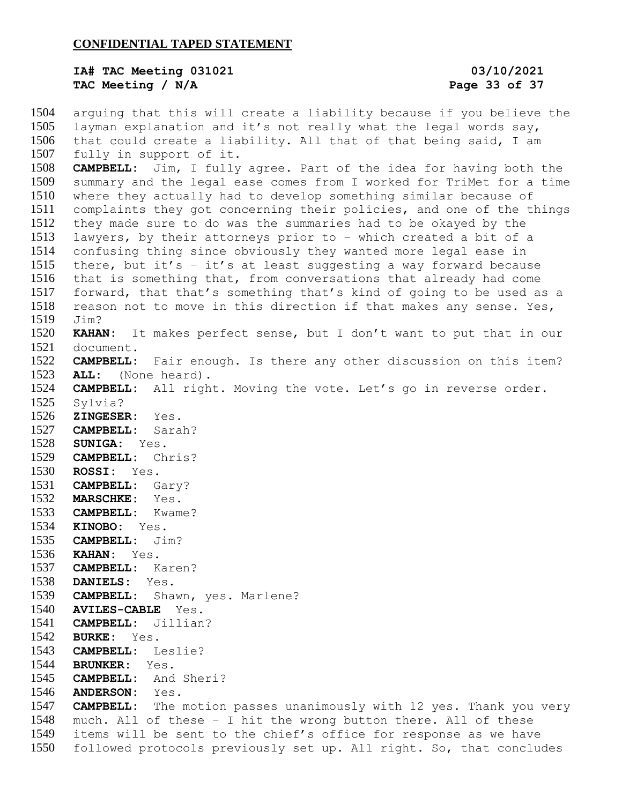## **IA# TAC Meeting 031021 03/10/2021 TAC Meeting / N/A Page 33 of 37**

 arguing that this will create a liability because if you believe the layman explanation and it's not really what the legal words say, that could create a liability. All that of that being said, I am fully in support of it. **CAMPBELL:** Jim, I fully agree. Part of the idea for having both the summary and the legal ease comes from I worked for TriMet for a time where they actually had to develop something similar because of complaints they got concerning their policies, and one of the things they made sure to do was the summaries had to be okayed by the lawyers, by their attorneys prior to – which created a bit of a confusing thing since obviously they wanted more legal ease in there, but it's – it's at least suggesting a way forward because that is something that, from conversations that already had come forward, that that's something that's kind of going to be used as a reason not to move in this direction if that makes any sense. Yes, Jim? **KAHAN:** It makes perfect sense, but I don't want to put that in our document. **CAMPBELL:** Fair enough. Is there any other discussion on this item? **ALL:** (None heard). **CAMPBELL:** All right. Moving the vote. Let's go in reverse order. Sylvia? **ZINGESER:** Yes. **CAMPBELL:** Sarah? **SUNIGA:** Yes. **CAMPBELL:** Chris? **ROSSI:** Yes. **CAMPBELL:** Gary? **MARSCHKE:** Yes. **CAMPBELL:** Kwame? **KINOBO:** Yes. **CAMPBELL:** Jim? **KAHAN:** Yes. **CAMPBELL:** Karen? **DANIELS:** Yes. **CAMPBELL:** Shawn, yes. Marlene? **AVILES-CABLE** Yes. **CAMPBELL:** Jillian? **BURKE:** Yes. **CAMPBELL:** Leslie? **BRUNKER:** Yes. **CAMPBELL:** And Sheri? **ANDERSON:** Yes. **CAMPBELL:** The motion passes unanimously with 12 yes. Thank you very much. All of these – I hit the wrong button there. All of these items will be sent to the chief's office for response as we have followed protocols previously set up. All right. So, that concludes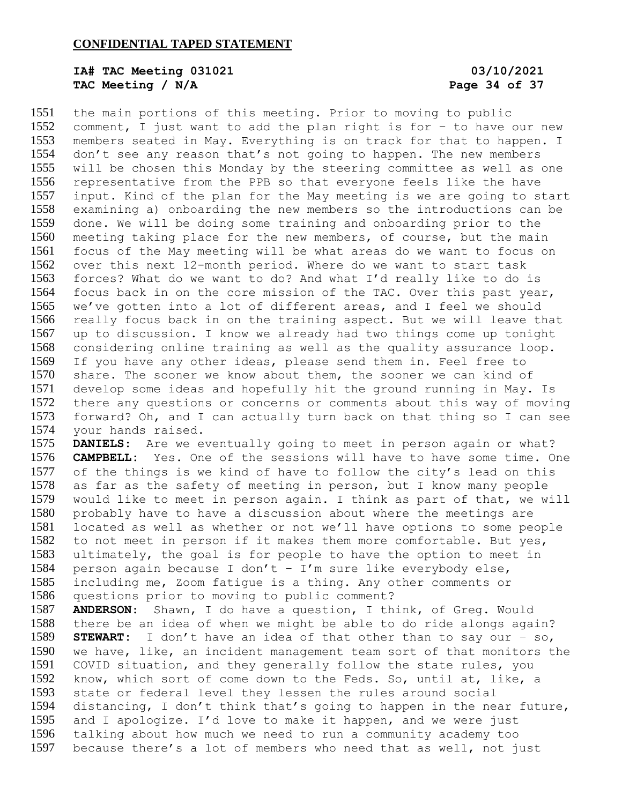# **IA# TAC Meeting 031021 03/10/2021 TAC Meeting / N/A Page 34 of 37**

 the main portions of this meeting. Prior to moving to public comment, I just want to add the plan right is for – to have our new members seated in May. Everything is on track for that to happen. I don't see any reason that's not going to happen. The new members will be chosen this Monday by the steering committee as well as one representative from the PPB so that everyone feels like the have input. Kind of the plan for the May meeting is we are going to start examining a) onboarding the new members so the introductions can be done. We will be doing some training and onboarding prior to the meeting taking place for the new members, of course, but the main focus of the May meeting will be what areas do we want to focus on over this next 12-month period. Where do we want to start task forces? What do we want to do? And what I'd really like to do is focus back in on the core mission of the TAC. Over this past year, we've gotten into a lot of different areas, and I feel we should really focus back in on the training aspect. But we will leave that up to discussion. I know we already had two things come up tonight considering online training as well as the quality assurance loop. If you have any other ideas, please send them in. Feel free to share. The sooner we know about them, the sooner we can kind of develop some ideas and hopefully hit the ground running in May. Is there any questions or concerns or comments about this way of moving forward? Oh, and I can actually turn back on that thing so I can see your hands raised. **DANIELS**: Are we eventually going to meet in person again or what? **CAMPBELL:** Yes. One of the sessions will have to have some time. One

 of the things is we kind of have to follow the city's lead on this as far as the safety of meeting in person, but I know many people would like to meet in person again. I think as part of that, we will probably have to have a discussion about where the meetings are located as well as whether or not we'll have options to some people to not meet in person if it makes them more comfortable. But yes, ultimately, the goal is for people to have the option to meet in person again because I don't – I'm sure like everybody else, including me, Zoom fatigue is a thing. Any other comments or questions prior to moving to public comment?

 **ANDERSON**: Shawn, I do have a question, I think, of Greg. Would there be an idea of when we might be able to do ride alongs again? **STEWART:** I don't have an idea of that other than to say our – so, we have, like, an incident management team sort of that monitors the COVID situation, and they generally follow the state rules, you know, which sort of come down to the Feds. So, until at, like, a state or federal level they lessen the rules around social distancing, I don't think that's going to happen in the near future, and I apologize. I'd love to make it happen, and we were just talking about how much we need to run a community academy too because there's a lot of members who need that as well, not just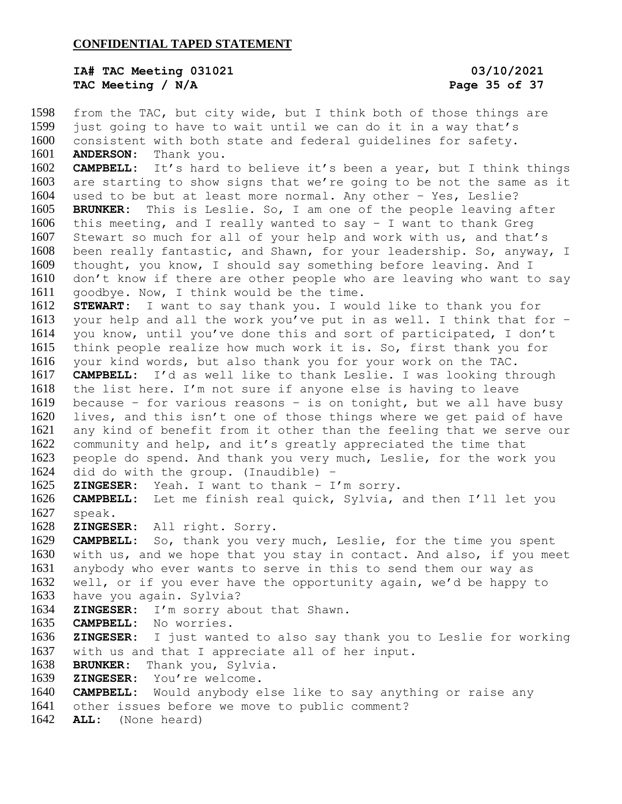**IA# TAC Meeting 031021 03/10/2021 TAC Meeting / N/A Page 35 of 37**

 from the TAC, but city wide, but I think both of those things are just going to have to wait until we can do it in a way that's consistent with both state and federal guidelines for safety. **ANDERSON**: Thank you. **CAMPBELL:** It's hard to believe it's been a year, but I think things are starting to show signs that we're going to be not the same as it used to be but at least more normal. Any other – Yes, Leslie? **BRUNKER:** This is Leslie. So, I am one of the people leaving after this meeting, and I really wanted to say – I want to thank Greg Stewart so much for all of your help and work with us, and that's been really fantastic, and Shawn, for your leadership. So, anyway, I thought, you know, I should say something before leaving. And I don't know if there are other people who are leaving who want to say goodbye. Now, I think would be the time. **STEWART:** I want to say thank you. I would like to thank you for your help and all the work you've put in as well. I think that for – you know, until you've done this and sort of participated, I don't think people realize how much work it is. So, first thank you for your kind words, but also thank you for your work on the TAC. **CAMPBELL:** I'd as well like to thank Leslie. I was looking through the list here. I'm not sure if anyone else is having to leave because – for various reasons – is on tonight, but we all have busy lives, and this isn't one of those things where we get paid of have any kind of benefit from it other than the feeling that we serve our community and help, and it's greatly appreciated the time that people do spend. And thank you very much, Leslie, for the work you did do with the group. (Inaudible) – **ZINGESER:** Yeah. I want to thank – I'm sorry. **CAMPBELL:** Let me finish real quick, Sylvia, and then I'll let you speak. **ZINGESER:** All right. Sorry. **CAMPBELL:** So, thank you very much, Leslie, for the time you spent with us, and we hope that you stay in contact. And also, if you meet anybody who ever wants to serve in this to send them our way as well, or if you ever have the opportunity again, we'd be happy to have you again. Sylvia? **ZINGESER:** I'm sorry about that Shawn. **CAMPBELL:** No worries. **ZINGESER:** I just wanted to also say thank you to Leslie for working with us and that I appreciate all of her input. **BRUNKER:** Thank you, Sylvia. **ZINGESER:** You're welcome. **CAMPBELL:** Would anybody else like to say anything or raise any other issues before we move to public comment? **ALL:** (None heard)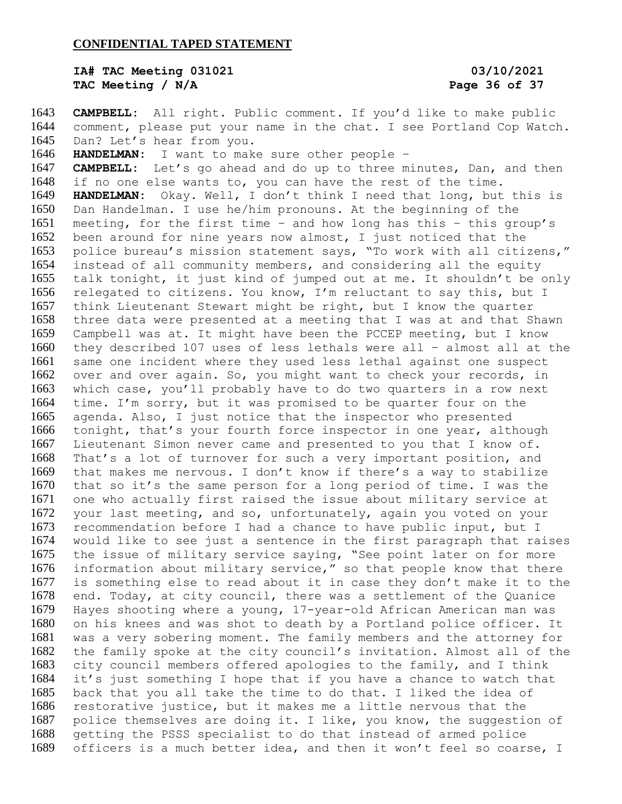## **IA# TAC Meeting 031021 03/10/2021 TAC Meeting / N/A Page 36 of 37**

 **CAMPBELL:** All right. Public comment. If you'd like to make public comment, please put your name in the chat. I see Portland Cop Watch. Dan? Let's hear from you. **HANDELMAN:** I want to make sure other people – **CAMPBELL:** Let's go ahead and do up to three minutes, Dan, and then if no one else wants to, you can have the rest of the time. **HANDELMAN:** Okay. Well, I don't think I need that long, but this is Dan Handelman. I use he/him pronouns. At the beginning of the meeting, for the first time – and how long has this – this group's been around for nine years now almost, I just noticed that the police bureau's mission statement says, "To work with all citizens," instead of all community members, and considering all the equity talk tonight, it just kind of jumped out at me. It shouldn't be only relegated to citizens. You know, I'm reluctant to say this, but I think Lieutenant Stewart might be right, but I know the quarter three data were presented at a meeting that I was at and that Shawn Campbell was at. It might have been the PCCEP meeting, but I know they described 107 uses of less lethals were all – almost all at the same one incident where they used less lethal against one suspect over and over again. So, you might want to check your records, in which case, you'll probably have to do two quarters in a row next time. I'm sorry, but it was promised to be quarter four on the agenda. Also, I just notice that the inspector who presented tonight, that's your fourth force inspector in one year, although Lieutenant Simon never came and presented to you that I know of. That's a lot of turnover for such a very important position, and that makes me nervous. I don't know if there's a way to stabilize that so it's the same person for a long period of time. I was the one who actually first raised the issue about military service at your last meeting, and so, unfortunately, again you voted on your recommendation before I had a chance to have public input, but I would like to see just a sentence in the first paragraph that raises the issue of military service saying, "See point later on for more information about military service," so that people know that there is something else to read about it in case they don't make it to the end. Today, at city council, there was a settlement of the Quanice Hayes shooting where a young, 17-year-old African American man was on his knees and was shot to death by a Portland police officer. It was a very sobering moment. The family members and the attorney for the family spoke at the city council's invitation. Almost all of the city council members offered apologies to the family, and I think it's just something I hope that if you have a chance to watch that back that you all take the time to do that. I liked the idea of restorative justice, but it makes me a little nervous that the police themselves are doing it. I like, you know, the suggestion of getting the PSSS specialist to do that instead of armed police officers is a much better idea, and then it won't feel so coarse, I